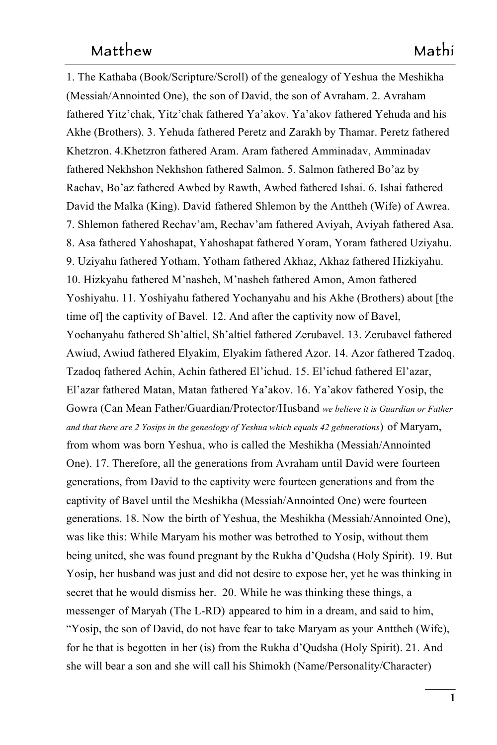1. The Kathaba (Book/Scripture/Scroll) of the genealogy of Yeshua the Meshikha 1 (Messiah/Annointed One), the son of David, the son of Avraham. 2. Avraham fathered Yitz'chak, Yitz'chak fathered Ya'akov. Ya'akov fathered Yehuda and his 3 Akhe (Brothers). 3. Yehuda fathered Peretz and Zarakh by Thamar. Peretz fathered 4 Khetzron. 4.Khetzron fathered Aram. Aram fathered Amminadav, Amminadav 5 fathered Nekhshon Nekhshon fathered Salmon. 5. Salmon fathered Bo'az by 6 Rachav, Bo'az fathered Awbed by Rawth, Awbed fathered Ishai. 6. Ishai fathered 7 David the Malka (King). David fathered Shlemon by the Anttheh (Wife) of Awrea. 7. Shlemon fathered Rechav'am, Rechav'am fathered Aviyah, Aviyah fathered Asa. 9 8. Asa fathered Yahoshapat, Yahoshapat fathered Yoram, Yoram fathered Uziyahu. 9. Uziyahu fathered Yotham, Yotham fathered Akhaz, Akhaz fathered Hizkiyahu. 11 10. Hizkyahu fathered M'nasheh, M'nasheh fathered Amon, Amon fathered 12 Yoshiyahu. 11. Yoshiyahu fathered Yochanyahu and his Akhe (Brothers) about [the time of] the captivity of Bavel. 12. And after the captivity now of Bavel, 12. And after the captivity now of Bavel, Yochanyahu fathered Sh'altiel, Sh'altiel fathered Zerubavel. 13. Zerubavel fathered 15 Awiud, Awiud fathered Elyakim, Elyakim fathered Azor. 14. Azor fathered Tzadoq. 16 Tzadoq fathered Achin, Achin fathered El'ichud. 15. El'ichud fathered El'azar, 17 El'azar fathered Matan, Matan fathered Ya'akov. 16. Ya'akov fathered Yosip, the 18 Gowra (Can Mean Father/Guardian/Protector/Husband *we believe it is Guardian or Father* 19 *and that there are 2 Yosips in the geneology of Yeshua which equals 42 gebnerations*)  of Maryam, from whom was born Yeshua, who is called the Meshikha (Messiah/Annointed 21 One). 17. Therefore, all the generations from Avraham until David were fourteen 22 generations, from David to the captivity were fourteen generations and from the captivity of Bavel until the Meshikha (Messiah/Annointed One) were fourteen generations. 18. Now the birth of Yeshua, the Meshikha (Messiah/Annointed One), was like this: While Maryam his mother was betrothed to Yosip, without them to Yosip, without them being united, she was found pregnant by the Rukha d'Qudsha (Holy Spirit).  19. But Yosip, her husband was just and did not desire to expose her, yet he was thinking in secret that he would dismiss her. 20. While he was thinking these things, a messenger of Maryah (The L-RD) appeared to him in a dream, and said to him, "Yosip, the son of David, do not have fear to take Maryam as your Anttheh (Wife), 31 for he that is begotten in her (is) from the Rukha d'Qudsha (Holy Spirit). 21. And she will bear a son and she will call his Shimokh (Name/Personality/Character)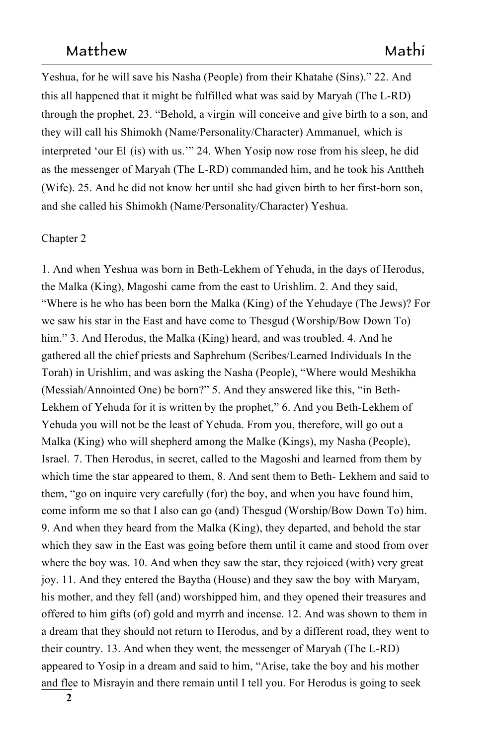Yeshua, for he will save his Nasha (People) from their Khatahe (Sins)." 22. And this all happened that it might be fulfilled what was said by Maryah (The L-RD) 35 through the prophet, 23. "Behold, a virgin will conceive and give birth to a son, and they will call his Shimokh (Name/Personality/Character) Ammanuel, which is 377 and 377 and 378 and 378 and 378 and 379 and 379 and 379 and 379 and 379 and 379 and 379 and 379 and 379 and 379 and 379 and 379 and 379 and 379 and 379 and 379 and 379 and 379 and 379 and 379 and 379 and 379 a interpreted 'our El (is) with us.'" 24. When Yosip now rose from his sleep, he did as the messenger of Maryah (The L-RD) commanded him, and he took his Anttheh (Wife). 25. And he did not know her until she had given birth to her first-born son, and she called his Shimokh (Name/Personality/Character) Yeshua.

#### Chapter 2

1. And when Yeshua was born in Beth-Lekhem of Yehuda, in the days of Herodus, the Malka (King), Magoshi came from the east to Urishlim. 2. And they said, 44 "Where is he who has been born the Malka (King) of the Yehudaye (The Jews)? For we saw his star in the East and have come to Thesgud (Worship/Bow Down To) 46 him." 3. And Herodus, the Malka (King) heard, and was troubled. 4. And he gathered all the chief priests and Saphrehum (Scribes/Learned Individuals In the 48 Torah) in Urishlim, and was asking the Nasha (People), "Where would Meshikha 49 (Messiah/Annointed One) be born?" 5. And they answered like this, "in Beth-Lekhem of Yehuda for it is written by the prophet," 6. And you Beth-Lekhem of Yehuda you will not be the least of Yehuda. From you, therefore, will go out a Malka (King) who will shepherd among the Malke (Kings), my Nasha (People), Israel. 7. Then Herodus, in secret, called to the Magoshi and learned from them by which time the star appeared to them, 8. And sent them to Beth- Lekhem and said to them, "go on inquire very carefully (for) the boy, and when you have found him, come inform me so that I also can go (and) Thesgud (Worship/Bow Down To) him. 9. And when they heard from the Malka (King), they departed, and behold the star which they saw in the East was going before them until it came and stood from over where the boy was. 10. And when they saw the star, they rejoiced (with) very great joy. 11. And they entered the Baytha (House) and they saw the boy with Maryam, his mother, and they fell (and) worshipped him, and they opened their treasures and offered to him gifts (of) gold and myrrh and incense. 12. And was shown to them in a dream that they should not return to Herodus, and by a different road, they went to 64 their country. 13. And when they went, the messenger of Maryah (The L-RD) appeared to Yosip in a dream and said to him, "Arise, take the boy and his mother and flee to Misrayin and there remain until I tell you. For Herodus is going to seek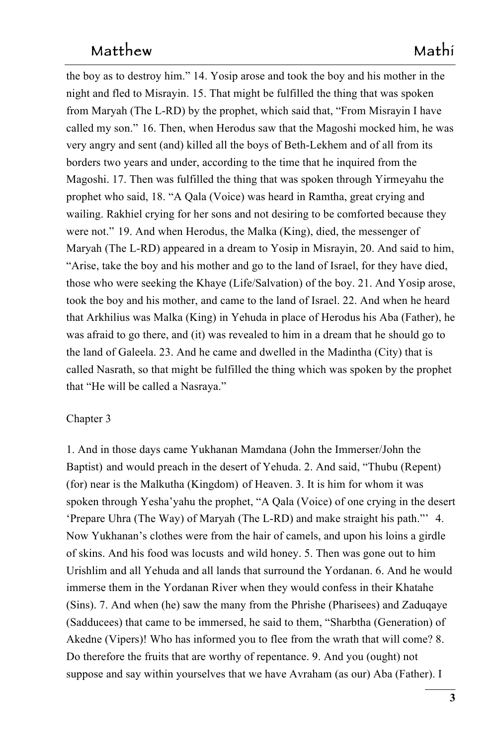the boy as to destroy him." 14. Yosip arose and took the boy and his mother in the night and fled to Misrayin. 15. That might be fulfilled the thing that was spoken from Maryah (The L-RD) by the prophet, which said that, "From Misrayin I have called my son." 16. Then, when Herodus saw that the Magoshi mocked him, he was very angry and sent (and) killed all the boys of Beth-Lekhem and of all from its 72 borders two years and under, according to the time that he inquired from the Magoshi. 17. Then was fulfilled the thing that was spoken through Yirmeyahu the 74 prophet who said, 18. "A Qala (Voice) was heard in Ramtha, great crying and wailing. Rakhiel crying for her sons and not desiring to be comforted because they were not." 19. And when Herodus, the Malka (King), died, the messenger of Maryah (The L-RD) appeared in a dream to Yosip in Misrayin, 20. And said to him, "Arise, take the boy and his mother and go to the land of Israel, for they have died, 79 those who were seeking the Khaye (Life/Salvation) of the boy. 21. And Yosip arose, took the boy and his mother, and came to the land of Israel. 22. And when he heard that Arkhilius was Malka (King) in Yehuda in place of Herodus his Aba (Father), he 82 was afraid to go there, and (it) was revealed to him in a dream that he should go to the land of Galeela. 23. And he came and dwelled in the Madintha (City) that is called Nasrath, so that might be fulfilled the thing which was spoken by the prophet that "He will be called a Nasraya."

#### Chapter 3

1. And in those days came Yukhanan Mamdana (John the Immerser/John the Baptist) and would preach in the desert of Yehuda. 2. And said, "Thubu (Repent) (for) near is the Malkutha (Kingdom) of Heaven. 3. It is him for whom it was spoken through Yesha'yahu the prophet, "A Qala (Voice) of one crying in the desert 'Prepare Uhra (The Way) of Maryah (The L-RD) and make straight his path."'  $4.$ Now Yukhanan's clothes were from the hair of camels, and upon his loins a girdle of skins. And his food was locusts and wild honey. 5. Then was gone out to him Urishlim and all Yehuda and all lands that surround the Yordanan. 6. And he would 95 immerse them in the Yordanan River when they would confess in their Khatahe (Sins). 7. And when (he) saw the many from the Phrishe (Pharisees) and Zaduqaye (Sadducees) that came to be immersed, he said to them, "Sharbtha (Generation) of Akedne (Vipers)! Who has informed you to flee from the wrath that will come? 8. Do therefore the fruits that are worthy of repentance. 9. And you (ought) not suppose and say within yourselves that we have Avraham (as our) Aba (Father). I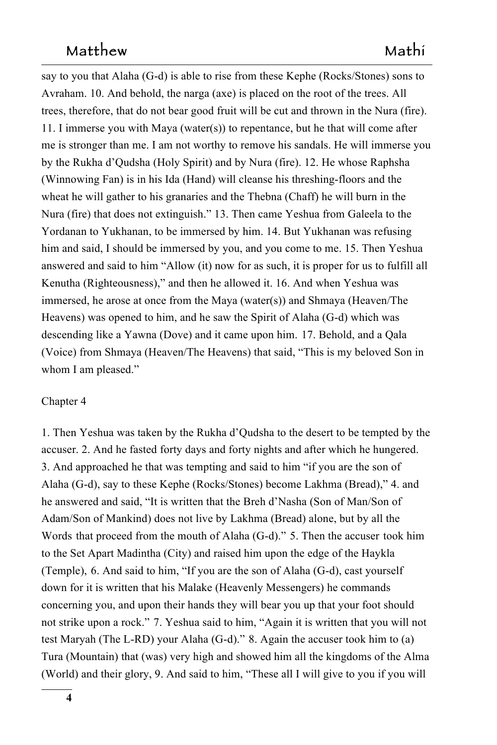say to you that Alaha  $(G-d)$  is able to rise from these Kephe (Rocks/Stones) sons to Avraham. 10. And behold, the narga (axe) is placed on the root of the trees. All trees, therefore, that do not bear good fruit will be cut and thrown in the Nura (fire). 104 11. I immerse you with Maya (water(s)) to repentance, but he that will come after me is stronger than me. I am not worthy to remove his sandals. He will immerse you by the Rukha d'Qudsha (Holy Spirit) and by Nura (fire). 12. He whose Raphsha (Winnowing Fan) is in his Ida (Hand) will cleanse his threshing-floors and the wheat he will gather to his granaries and the Thebna (Chaff) he will burn in the Nura (fire) that does not extinguish." 13. Then came Yeshua from Galeela to the Yordanan to Yukhanan, to be immersed by him. 14. But Yukhanan was refusing him and said, I should be immersed by you, and you come to me. 15. Then Yeshua answered and said to him "Allow (it) now for as such, it is proper for us to fulfill all Kenutha (Righteousness)," and then he allowed it. 16. And when Yeshua was immersed, he arose at once from the Maya (water(s)) and Shmaya (Heaven/The Heavens) was opened to him, and he saw the Spirit of Alaha (G-d) which was descending like a Yawna (Dove) and it came upon him. 17. Behold, and a Qala (Voice) from Shmaya (Heaven/The Heavens) that said, "This is my beloved Son in whom I am pleased."

#### Chapter 4

1. Then Yeshua was taken by the Rukha d'Qudsha to the desert to be tempted by the 121 accuser. 2. And he fasted forty days and forty nights and after which he hungered. 3. And approached he that was tempting and said to him "if you are the son of Alaha (G-d), say to these Kephe (Rocks/Stones) become Lakhma (Bread)," 4. and he answered and said, "It is written that the Breh d'Nasha (Son of Man/Son of Adam/Son of Mankind) does not live by Lakhma (Bread) alone, but by all the Words that proceed from the mouth of Alaha (G-d)." 5. Then the accuser took him to the Set Apart Madintha (City) and raised him upon the edge of the Haykla (Temple), 6. And said to him, "If you are the son of Alaha (G-d), cast yourself down for it is written that his Malake (Heavenly Messengers) he commands concerning you, and upon their hands they will bear you up that your foot should not strike upon a rock." 7. Yeshua said to him, "Again it is written that you will not test Maryah (The L-RD) your Alaha (G-d)." 8. Again the accuser took him to (a) Tura (Mountain) that (was) very high and showed him all the kingdoms of the Alma 134 (World) and their glory, 9. And said to him, "These all I will give to you if you will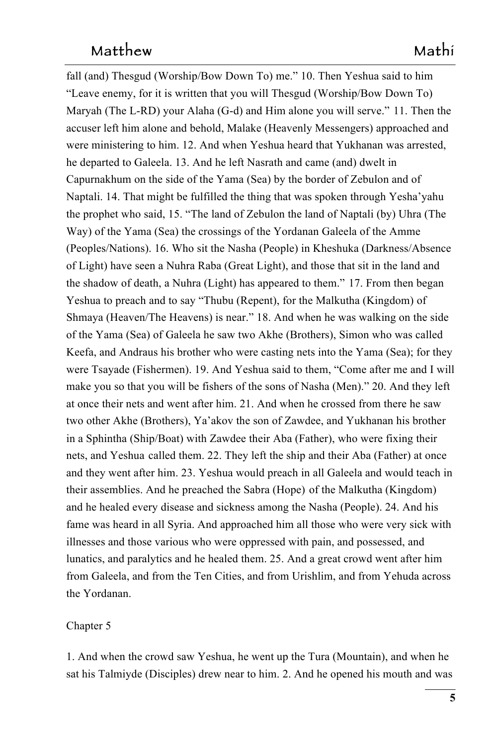fall (and) Thesgud (Worship/Bow Down To) me." 10. Then Yeshua said to him "Leave enemy, for it is written that you will Thesgud (Worship/Bow Down To) 137 Maryah (The L-RD) your Alaha (G-d) and Him alone you will serve." 11. Then the accuser left him alone and behold, Malake (Heavenly Messengers) approached and were ministering to him. 12. And when Yeshua heard that Yukhanan was arrested, he departed to Galeela. 13. And he left Nasrath and came (and) dwelt in Capurnakhum on the side of the Yama (Sea) by the border of Zebulon and of Naptali. 14. That might be fulfilled the thing that was spoken through Yesha'yahu the prophet who said, 15. "The land of Zebulon the land of Naptali (by) Uhra (The Way) of the Yama (Sea) the crossings of the Yordanan Galeela of the Amme (Peoples/Nations). 16. Who sit the Nasha (People) in Kheshuka (Darkness/Absence 146 of Light) have seen a Nuhra Raba (Great Light), and those that sit in the land and 147 the shadow of death, a Nuhra (Light) has appeared to them." 17. From then began Yeshua to preach and to say "Thubu (Repent), for the Malkutha (Kingdom) of Shmaya (Heaven/The Heavens) is near." 18. And when he was walking on the side of the Yama (Sea) of Galeela he saw two Akhe (Brothers), Simon who was called 151 Keefa, and Andraus his brother who were casting nets into the Yama (Sea); for they were Tsayade (Fishermen). 19. And Yeshua said to them, "Come after me and I will make you so that you will be fishers of the sons of Nasha (Men)." 20. And they left at once their nets and went after him. 21. And when he crossed from there he saw two other Akhe (Brothers), Ya'akov the son of Zawdee, and Yukhanan his brother in a Sphintha (Ship/Boat) with Zawdee their Aba (Father), who were fixing their nets, and Yeshua called them. 22. They left the ship and their Aba (Father) at once and they went after him. 23. Yeshua would preach in all Galeela and would teach in their assemblies. And he preached the Sabra (Hope) of the Malkutha (Kingdom) and he healed every disease and sickness among the Nasha (People). 24. And his fame was heard in all Syria. And approached him all those who were very sick with illnesses and those various who were oppressed with pain, and possessed, and lunatics, and paralytics and he healed them. 25. And a great crowd went after him 164 from Galeela, and from the Ten Cities, and from Urishlim, and from Yehuda across 165 the Yordanan.

### Chapter 5 167

1. And when the crowd saw Yeshua, he went up the Tura (Mountain), and when he sat his Talmiyde (Disciples) drew near to him. 2. And he opened his mouth and was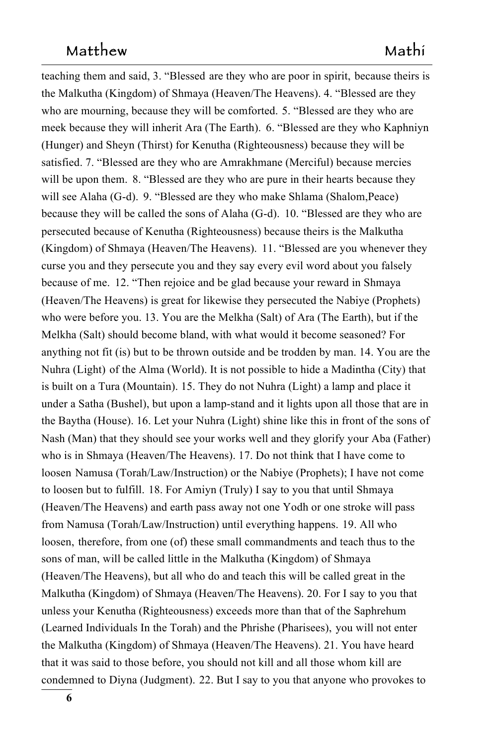teaching them and said, 3. "Blessed are they who are poor in spirit, because theirs is the Malkutha (Kingdom) of Shmaya (Heaven/The Heavens). 4. "Blessed are they who are mourning, because they will be comforted. 5. "Blessed are they who are 5. "Blessed are they who are meek because they will inherit Ara (The Earth). **6.** "Blessed are they who Kaphniyn (Hunger) and Sheyn (Thirst) for Kenutha (Righteousness) because they will be satisfied. 7. "Blessed are they who are Amrakhmane (Merciful) because mercies will be upon them. 8. "Blessed are they who are pure in their hearts because they will see Alaha (G-d). 9. "Blessed are they who make Shlama (Shalom, Peace) because they will be called the sons of Alaha (G-d).  10. "Blessed are they who are persecuted because of Kenutha (Righteousness) because theirs is the Malkutha (Kingdom) of Shmaya (Heaven/The Heavens).  11. "Blessed are you whenever they curse you and they persecute you and they say every evil word about you falsely because of me. 12. "Then rejoice and be glad because your reward in Shmaya (Heaven/The Heavens) is great for likewise they persecuted the Nabiye (Prophets) who were before you. 13. You are the Melkha (Salt) of Ara (The Earth), but if the Melkha (Salt) should become bland, with what would it become seasoned? For anything not fit (is) but to be thrown outside and be trodden by man. 14. You are the Nuhra (Light) of the Alma (World). It is not possible to hide a Madintha (City) that is built on a Tura (Mountain). 15. They do not Nuhra (Light) a lamp and place it under a Satha (Bushel), but upon a lamp-stand and it lights upon all those that are in 189 the Baytha (House). 16. Let your Nuhra (Light) shine like this in front of the sons of Nash (Man) that they should see your works well and they glorify your Aba (Father) who is in Shmaya (Heaven/The Heavens). 17. Do not think that I have come to loosen Namusa (Torah/Law/Instruction) or the Nabiye (Prophets); I have not come to loosen but to fulfill. 18. For Amiyn (Truly) I say to you that until Shmaya (Heaven/The Heavens) and earth pass away not one Yodh or one stroke will pass from Namusa (Torah/Law/Instruction) until everything happens. 19. All who loosen, therefore, from one (of) these small commandments and teach thus to the sons of man, will be called little in the Malkutha (Kingdom) of Shmaya (Heaven/The Heavens), but all who do and teach this will be called great in the Malkutha (Kingdom) of Shmaya (Heaven/The Heavens). 20. For I say to you that unless your Kenutha (Righteousness) exceeds more than that of the Saphrehum 201 (Learned Individuals In the Torah) and the Phrishe (Pharisees),  you will not enter the Malkutha (Kingdom) of Shmaya (Heaven/The Heavens). 21. You have heard that it was said to those before, you should not kill and all those whom kill are condemned to Diyna (Judgment).  22. But I say to you that anyone who provokes to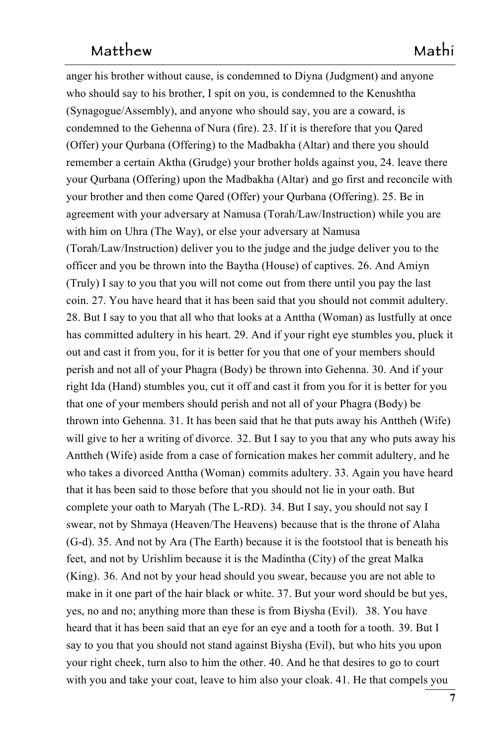anger his brother without cause, is condemned to Diyna (Judgment) and anyone who should say to his brother, I spit on you, is condemned to the Kenushtha (Synagogue/Assembly), and anyone who should say, you are a coward, is condemned to the Gehenna of Nura (fire). 23. If it is therefore that you Qared (Offer) your Qurbana (Offering) to the Madbakha (Altar) and there you should remember a certain Aktha (Grudge) your brother holds against you, 24. leave there your Qurbana (Offering) upon the Madbakha (Altar) and go first and reconcile with your brother and then come Qared (Offer) your Qurbana (Offering). 25. Be in agreement with your adversary at Namusa (Torah/Law/Instruction) while you are with him on Uhra (The Way), or else your adversary at Namusa (Torah/Law/Instruction) deliver you to the judge and the judge deliver you to the 216 officer and you be thrown into the Baytha (House) of captives. 26. And Amiyn 217 (Truly) I say to you that you will not come out from there until you pay the last 218 coin. 27. You have heard that it has been said that you should not commit adultery. 28. But I say to you that all who that looks at a Anttha (Woman) as lustfully at once has committed adultery in his heart. 29. And if your right eye stumbles you, pluck it out and cast it from you, for it is better for you that one of your members should perish and not all of your Phagra (Body) be thrown into Gehenna. 30. And if your right Ida (Hand) stumbles you, cut it off and cast it from you for it is better for you that one of your members should perish and not all of your Phagra (Body) be thrown into Gehenna. 31. It has been said that he that puts away his Anttheh (Wife) will give to her a writing of divorce. 32. But I say to you that any who puts away his 32. But I say to you that any who puts away his Anttheh (Wife) aside from a case of fornication makes her commit adultery, and he who takes a divorced Anttha (Woman) commits adultery. 33. Again you have heard commits adultery. 33. Again you have heard that it has been said to those before that you should not lie in your oath. But complete your oath to Maryah (The L-RD).  34. But I say, you should not say I swear, not by Shmaya (Heaven/The Heavens) because that is the throne of Alaha (G-d). 35. And not by Ara (The Earth) because it is the footstool that is beneath his feet, and not by Urishlim because it is the Madintha (City) of the great Malka (King). 36. And not by your head should you swear, because you are not able to make in it one part of the hair black or white. 37. But your word should be but yes, yes, no and no; anything more than these is from Biysha (Evil). **38. You have** heard that it has been said that an eye for an eye and a tooth for a tooth.  $39.$  But I say to you that you should not stand against Biysha (Evil),  but who hits you upon your right cheek, turn also to him the other. 40. And he that desires to go to court with you and take your coat, leave to him also your cloak. 41. He that compels you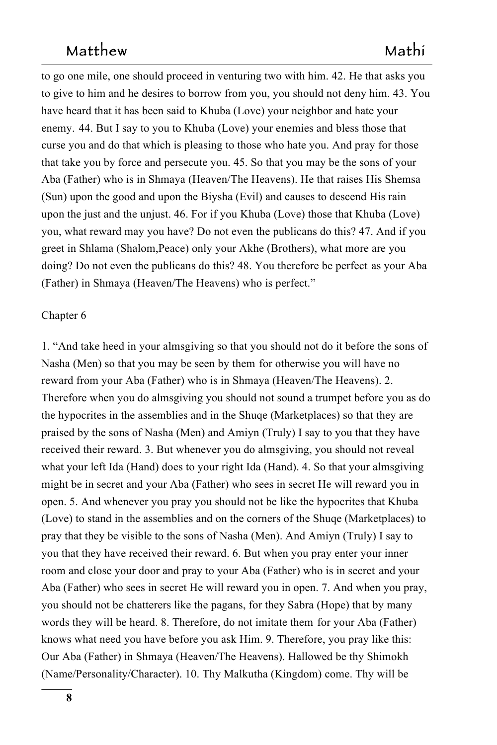to go one mile, one should proceed in venturing two with him. 42. He that asks you 242 to give to him and he desires to borrow from you, you should not deny him. 43. You have heard that it has been said to Khuba (Love) your neighbor and hate your enemy. 44. But I say to you to Khuba (Love) your enemies and bless those that curse you and do that which is pleasing to those who hate you. And pray for those that take you by force and persecute you. 45. So that you may be the sons of your 247 Aba (Father) who is in Shmaya (Heaven/The Heavens). He that raises His Shemsa (Sun) upon the good and upon the Biysha (Evil) and causes to descend His rain upon the just and the unjust. 46. For if you Khuba (Love) those that Khuba (Love) you, what reward may you have? Do not even the publicans do this? 47. And if you greet in Shlama (Shalom, Peace) only your Akhe (Brothers), what more are you doing? Do not even the publicans do this? 48. You therefore be perfect as your Aba (Father) in Shmaya (Heaven/The Heavens) who is perfect."

#### Chapter 6 255

1. "And take heed in your almsgiving so that you should not do it before the sons of 256 Nasha (Men) so that you may be seen by them for otherwise you will have no reward from your Aba (Father) who is in Shmaya (Heaven/The Heavens). 2. Therefore when you do almsgiving you should not sound a trumpet before you as do the hypocrites in the assemblies and in the Shuqe (Marketplaces) so that they are praised by the sons of Nasha (Men) and Amiyn (Truly) I say to you that they have received their reward. 3. But whenever you do almsgiving, you should not reveal what your left Ida (Hand) does to your right Ida (Hand). 4. So that your almsgiving might be in secret and your Aba (Father) who sees in secret He will reward you in open. 5. And whenever you pray you should not be like the hypocrites that Khuba (Love) to stand in the assemblies and on the corners of the Shuqe (Marketplaces) to pray that they be visible to the sons of Nasha (Men). And Amiyn (Truly) I say to 267 you that they have received their reward. 6. But when you pray enter your inner room and close your door and pray to your Aba (Father) who is in secret and your Aba (Father) who sees in secret He will reward you in open. 7. And when you pray, you should not be chatterers like the pagans, for they Sabra (Hope) that by many 271 words they will be heard. 8. Therefore, do not imitate them for your Aba (Father) knows what need you have before you ask Him. 9. Therefore, you pray like this: Our Aba (Father) in Shmaya (Heaven/The Heavens). Hallowed be thy Shimokh (Name/Personality/Character). 10. Thy Malkutha (Kingdom) come. Thy will be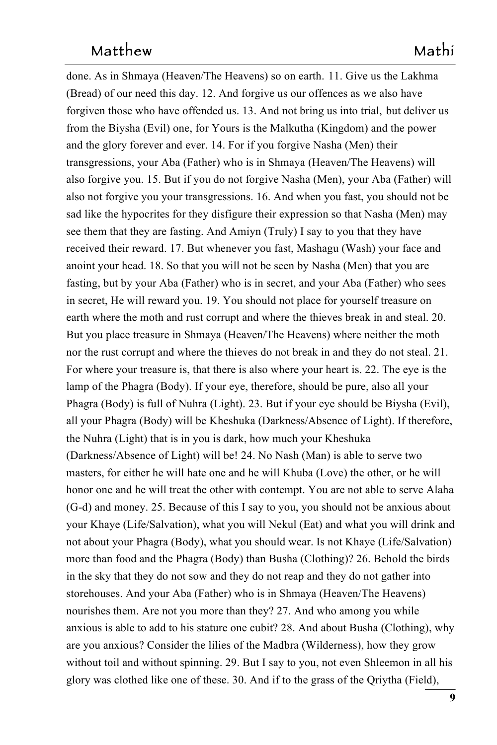done. As in Shmaya (Heaven/The Heavens) so on earth. 11. Give us the Lakhma 11. Give us the Lakhma (Bread) of our need this day. 12. And forgive us our offences as we also have forgiven those who have offended us. 13. And not bring us into trial, but deliver us from the Biysha (Evil) one, for Yours is the Malkutha (Kingdom) and the power and the glory forever and ever. 14. For if you forgive Nasha (Men) their transgressions, your Aba (Father) who is in Shmaya (Heaven/The Heavens) will also forgive you. 15. But if you do not forgive Nasha (Men), your Aba (Father) will also not forgive you your transgressions. 16. And when you fast, you should not be sad like the hypocrites for they disfigure their expression so that Nasha (Men) may see them that they are fasting. And Amiyn (Truly) I say to you that they have received their reward. 17. But whenever you fast, Mashagu (Wash) your face and anoint your head. 18. So that you will not be seen by Nasha (Men) that you are fasting, but by your Aba (Father) who is in secret, and your Aba (Father) who sees in secret, He will reward you. 19. You should not place for yourself treasure on earth where the moth and rust corrupt and where the thieves break in and steal. 20. But you place treasure in Shmaya (Heaven/The Heavens) where neither the moth nor the rust corrupt and where the thieves do not break in and they do not steal. 21. For where your treasure is, that there is also where your heart is. 22. The eye is the lamp of the Phagra (Body). If your eye, therefore, should be pure, also all your Phagra (Body) is full of Nuhra (Light). 23. But if your eye should be Biysha (Evil), all your Phagra (Body) will be Kheshuka (Darkness/Absence of Light). If therefore, 296 the Nuhra (Light) that is in you is dark, how much your Kheshuka (Darkness/Absence of Light) will be! 24. No Nash (Man) is able to serve two masters, for either he will hate one and he will Khuba (Love) the other, or he will honor one and he will treat the other with contempt. You are not able to serve Alaha  $(G-d)$  and money. 25. Because of this I say to you, you should not be anxious about your Khaye (Life/Salvation), what you will Nekul (Eat) and what you will drink and not about your Phagra (Body), what you should wear. Is not Khaye (Life/Salvation)303 more than food and the Phagra (Body) than Busha (Clothing)? 26. Behold the birds 304 in the sky that they do not sow and they do not reap and they do not gather into storehouses. And your Aba (Father) who is in Shmaya (Heaven/The Heavens) nourishes them. Are not you more than they? 27. And who among you while anxious is able to add to his stature one cubit? 28. And about Busha (Clothing), why 308 are you anxious? Consider the lilies of the Madbra (Wilderness), how they grow without toil and without spinning. 29. But I say to you, not even Shleemon in all his glory was clothed like one of these. 30. And if to the grass of the Qriytha (Field), 311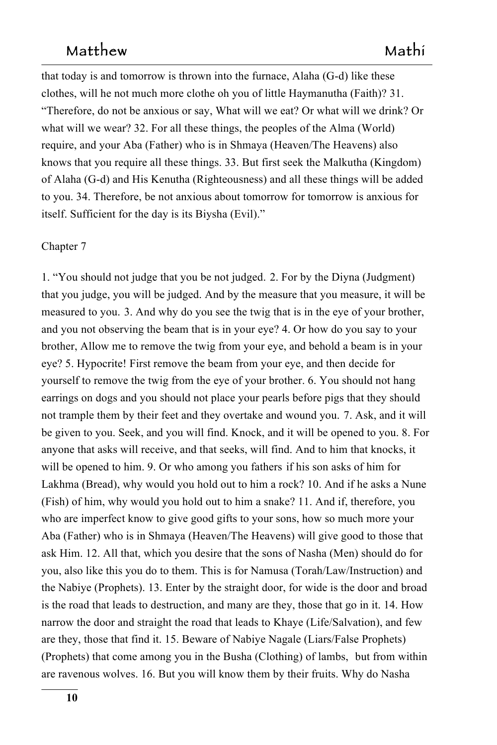that today is and tomorrow is thrown into the furnace, Alaha  $(G-d)$  like these clothes, will he not much more clothe oh you of little Haymanutha (Faith)? 31. "Therefore, do not be anxious or say, What will we eat? Or what will we drink? Or 314 what will we wear? 32. For all these things, the peoples of the Alma (World) require, and your Aba (Father) who is in Shmaya (Heaven/The Heavens) also knows that you require all these things. 33. But first seek the Malkutha (Kingdom) of Alaha (G-d) and His Kenutha (Righteousness) and all these things will be added to you. 34. Therefore, be not anxious about tomorrow for tomorrow is anxious for itself. Sufficient for the day is its Biysha (Evil)."

#### Chapter 7

1. "You should not judge that you be not judged. 2. For by the Diyna (Judgment) that you judge, you will be judged. And by the measure that you measure, it will be measured to you. 3. And why do you see the twig that is in the eye of your brother, and you not observing the beam that is in your eye? 4. Or how do you say to your brother, Allow me to remove the twig from your eye, and behold a beam is in your 326 eye? 5. Hypocrite! First remove the beam from your eye, and then decide for yourself to remove the twig from the eye of your brother. 6. You should not hang earrings on dogs and you should not place your pearls before pigs that they should not trample them by their feet and they overtake and wound you. 7. Ask, and it will be given to you. Seek, and you will find. Knock, and it will be opened to you. 8. For anyone that asks will receive, and that seeks, will find. And to him that knocks, it will be opened to him. 9. Or who among you fathers if his son asks of him for if his son asks of him for Lakhma (Bread), why would you hold out to him a rock? 10. And if he asks a Nune (Fish) of him, why would you hold out to him a snake? 11. And if, therefore, you who are imperfect know to give good gifts to your sons, how so much more your Aba (Father) who is in Shmaya (Heaven/The Heavens) will give good to those that ask Him. 12. All that, which you desire that the sons of Nasha (Men) should do for you, also like this you do to them. This is for Namusa (Torah/Law/Instruction) and the Nabiye (Prophets). 13. Enter by the straight door, for wide is the door and broad is the road that leads to destruction, and many are they, those that go in it. 14. How narrow the door and straight the road that leads to Khaye (Life/Salvation), and few are they, those that find it. 15. Beware of Nabiye Nagale (Liars/False Prophets) (Prophets) that come among you in the Busha (Clothing) of lambs, but from within are ravenous wolves. 16. But you will know them by their fruits. Why do Nasha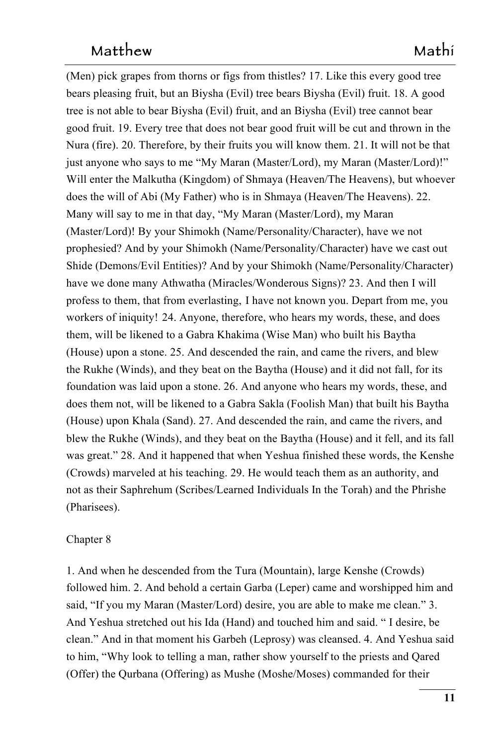(Men) pick grapes from thorns or figs from thistles? 17. Like this every good tree bears pleasing fruit, but an Biysha (Evil) tree bears Biysha (Evil) fruit. 18. A good tree is not able to bear Biysha (Evil) fruit, and an Biysha (Evil) tree cannot bear 348 good fruit. 19. Every tree that does not bear good fruit will be cut and thrown in the Nura (fire). 20. Therefore, by their fruits you will know them. 21. It will not be that just anyone who says to me "My Maran (Master/Lord), my Maran (Master/Lord)!" Will enter the Malkutha (Kingdom) of Shmaya (Heaven/The Heavens), but whoever does the will of Abi (My Father) who is in Shmaya (Heaven/The Heavens). 22. Many will say to me in that day, "My Maran (Master/Lord), my Maran (Master/Lord)! By your Shimokh (Name/Personality/Character), have we not prophesied? And by your Shimokh (Name/Personality/Character) have we cast out 356 Shide (Demons/Evil Entities)? And by your Shimokh (Name/Personality/Character) 357 have we done many Athwatha (Miracles/Wonderous Signs)? 23. And then I will profess to them, that from everlasting, I have not known you. Depart from me, you workers of iniquity! 24. Anyone, therefore, who hears my words, these, and does them, will be likened to a Gabra Khakima (Wise Man) who built his Baytha 361 (House) upon a stone. 25. And descended the rain, and came the rivers, and blew the Rukhe (Winds), and they beat on the Baytha (House) and it did not fall, for its foundation was laid upon a stone. 26. And anyone who hears my words, these, and does them not, will be likened to a Gabra Sakla (Foolish Man) that built his Baytha (House) upon Khala (Sand). 27. And descended the rain, and came the rivers, and 366 blew the Rukhe (Winds), and they beat on the Baytha (House) and it fell, and its fall was great." 28. And it happened that when Yeshua finished these words, the Kenshe (Crowds) marveled at his teaching. 29. He would teach them as an authority, and not as their Saphrehum (Scribes/Learned Individuals In the Torah) and the Phrishe 370 (Pharisees).

#### Chapter 8

1. And when he descended from the Tura (Mountain), large Kenshe (Crowds) followed him. 2. And behold a certain Garba (Leper) came and worshipped him and said, "If you my Maran (Master/Lord) desire, you are able to make me clean." 3. And Yeshua stretched out his Ida (Hand) and touched him and said. " I desire, be 376 clean." And in that moment his Garbeh (Leprosy) was cleansed. 4. And Yeshua said to him, "Why look to telling a man, rather show yourself to the priests and Qared (Offer) the Qurbana (Offering) as Mushe (Moshe/Moses) commanded for their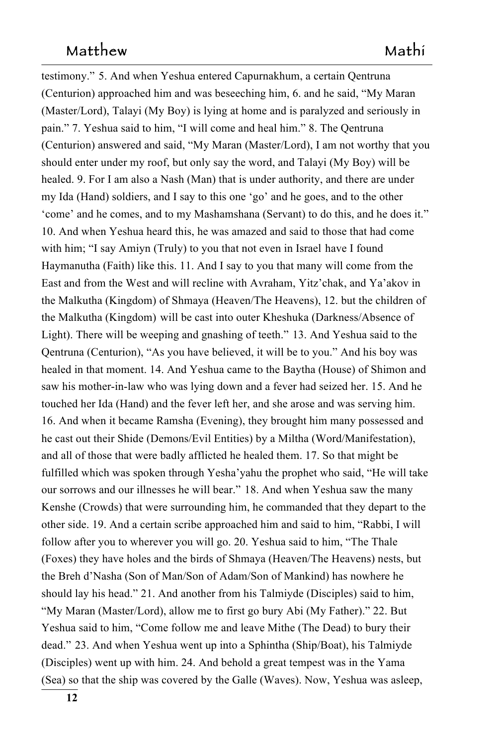testimony." 5. And when Yeshua entered Capurnakhum, a certain Qentruna (Centurion) approached him and was beseeching him, 6. and he said, "My Maran" (Master/Lord), Talayi (My Boy) is lying at home and is paralyzed and seriously in pain." 7. Yeshua said to him, "I will come and heal him." 8. The Qentruna (Centurion) answered and said, "My Maran (Master/Lord), I am not worthy that you should enter under my roof, but only say the word, and Talayi (My Boy) will be healed. 9. For I am also a Nash (Man) that is under authority, and there are under my Ida (Hand) soldiers, and I say to this one 'go' and he goes, and to the other 387 'come' and he comes, and to my Mashamshana (Servant) to do this, and he does it." 388 10. And when Yeshua heard this, he was amazed and said to those that had come with him; "I say Amiyn (Truly) to you that not even in Israel have I found have I found Haymanutha (Faith) like this. 11. And I say to you that many will come from the East and from the West and will recline with Avraham, Yitz'chak, and Ya'akov in the Malkutha (Kingdom) of Shmaya (Heaven/The Heavens), 12. but the children of the Malkutha (Kingdom) will be cast into outer Kheshuka (Darkness/Absence of Light). There will be weeping and gnashing of teeth." 13. And Yeshua said to the 13. And Yeshua said to the Qentruna (Centurion), "As you have believed, it will be to you." And his boy was healed in that moment. 14. And Yeshua came to the Baytha (House) of Shimon and saw his mother-in-law who was lying down and a fever had seized her. 15. And he touched her Ida (Hand) and the fever left her, and she arose and was serving him. 16. And when it became Ramsha (Evening), they brought him many possessed and he cast out their Shide (Demons/Evil Entities) by a Miltha (Word/Manifestation), and all of those that were badly afflicted he healed them. 17. So that might be fulfilled which was spoken through Yesha'yahu the prophet who said, "He will take our sorrows and our illnesses he will bear." 18. And when Yeshua saw the many Kenshe (Crowds) that were surrounding him, he commanded that they depart to the other side. 19. And a certain scribe approached him and said to him, "Rabbi, I will 406 follow after you to wherever you will go. 20. Yeshua said to him, "The Thale (Foxes) they have holes and the birds of Shmaya (Heaven/The Heavens) nests, but the Breh d'Nasha (Son of Man/Son of Adam/Son of Mankind) has nowhere he should lay his head." 21. And another from his Talmiyde (Disciples) said to him, "My Maran (Master/Lord), allow me to first go bury Abi (My Father)." 22. But Yeshua said to him, "Come follow me and leave Mithe (The Dead) to bury their dead." 23. And when Yeshua went up into a Sphintha (Ship/Boat), his Talmiyde (Disciples) went up with him. 24. And behold a great tempest was in the Yama (Sea) so that the ship was covered by the Galle (Waves). Now, Yeshua was asleep,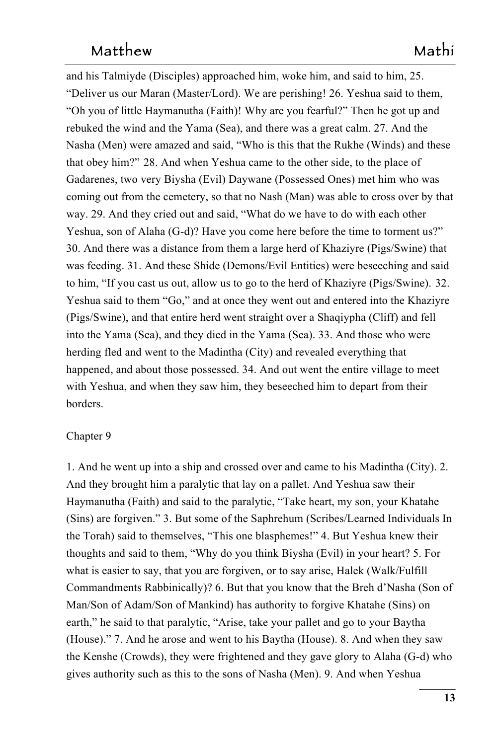and his Talmiyde (Disciples) approached him, woke him, and said to him, 25. "Deliver us our Maran (Master/Lord). We are perishing! 26. Yeshua said to them, "Oh you of little Haymanutha (Faith)! Why are you fearful?" Then he got up and 418 rebuked the wind and the Yama (Sea), and there was a great calm. 27. And the Nasha (Men) were amazed and said, "Who is this that the Rukhe (Winds) and these that obey him?" 28. And when Yeshua came to the other side, to the place of Gadarenes, two very Biysha (Evil) Daywane (Possessed Ones) met him who was 422 coming out from the cemetery, so that no Nash (Man) was able to cross over by that way. 29. And they cried out and said, "What do we have to do with each other Yeshua, son of Alaha (G-d)? Have you come here before the time to torment us?" 30. And there was a distance from them a large herd of Khaziyre (Pigs/Swine) that 426 was feeding. 31. And these Shide (Demons/Evil Entities) were beseeching and said to him, "If you cast us out, allow us to go to the herd of Khaziyre (Pigs/Swine).   $32.$ Yeshua said to them "Go," and at once they went out and entered into the Khaziyre (Pigs/Swine), and that entire herd went straight over a Shaqiypha (Cliff) and fell into the Yama (Sea), and they died in the Yama (Sea). 33. And those who were herding fled and went to the Madintha (City) and revealed everything that happened, and about those possessed. 34. And out went the entire village to meet with Yeshua, and when they saw him, they beseeched him to depart from their borders.

### Chapter 9

1. And he went up into a ship and crossed over and came to his Madintha (City). 2. And they brought him a paralytic that lay on a pallet. And Yeshua saw their Haymanutha (Faith) and said to the paralytic, "Take heart, my son, your Khatahe (Sins) are forgiven." 3. But some of the Saphrehum (Scribes/Learned Individuals In 440 the Torah) said to themselves, "This one blasphemes!" 4. But Yeshua knew their thoughts and said to them, "Why do you think Biysha (Evil) in your heart? 5. For what is easier to say, that you are forgiven, or to say arise, Halek (Walk/Fulfill Commandments Rabbinically)? 6. But that you know that the Breh d'Nasha (Son of Man/Son of Adam/Son of Mankind) has authority to forgive Khatahe (Sins) on earth," he said to that paralytic, "Arise, take your pallet and go to your Baytha (House)." 7. And he arose and went to his Baytha (House). 8. And when they saw the Kenshe (Crowds), they were frightened and they gave glory to Alaha (G-d) who gives authority such as this to the sons of Nasha (Men). 9. And when Yeshua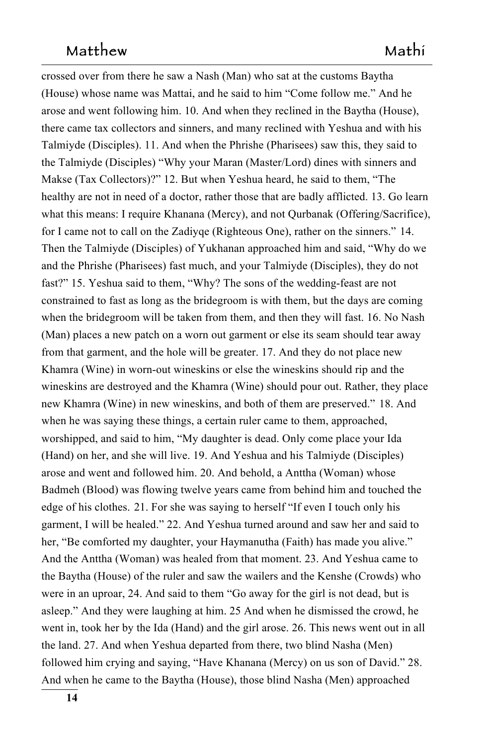crossed over from there he saw a Nash (Man) who sat at the customs Baytha (House) whose name was Mattai, and he said to him "Come follow me." And he arose and went following him. 10. And when they reclined in the Baytha (House), 452 there came tax collectors and sinners, and many reclined with Yeshua and with his Talmiyde (Disciples). 11. And when the Phrishe (Pharisees) saw this, they said to the Talmiyde (Disciples) "Why your Maran (Master/Lord) dines with sinners and Makse (Tax Collectors)?" 12. But when Yeshua heard, he said to them, "The healthy are not in need of a doctor, rather those that are badly afflicted. 13. Go learn what this means: I require Khanana (Mercy), and not Qurbanak (Offering/Sacrifice), for I came not to call on the Zadiyqe (Righteous One), rather on the sinners." 14. Then the Talmiyde (Disciples) of Yukhanan approached him and said, "Why do we and the Phrishe (Pharisees) fast much, and your Talmiyde (Disciples), they do not 461 fast?" 15. Yeshua said to them, "Why? The sons of the wedding-feast are not constrained to fast as long as the bridegroom is with them, but the days are coming when the bridegroom will be taken from them, and then they will fast. 16. No Nash (Man) places a new patch on a worn out garment or else its seam should tear away from that garment, and the hole will be greater. 17. And they do not place new Khamra (Wine) in worn-out wineskins or else the wineskins should rip and the wineskins are destroyed and the Khamra (Wine) should pour out. Rather, they place new Khamra (Wine) in new wineskins, and both of them are preserved." 18. And when he was saying these things, a certain ruler came to them, approached, worshipped, and said to him, "My daughter is dead. Only come place your Ida (Hand) on her, and she will live. 19. And Yeshua and his Talmiyde (Disciples) arose and went and followed him. 20. And behold, a Anttha (Woman) whose Badmeh (Blood) was flowing twelve years came from behind him and touched the edge of his clothes. 21. For she was saying to herself "If even I touch only his garment, I will be healed." 22. And Yeshua turned around and saw her and said to 476 her, "Be comforted my daughter, your Haymanutha (Faith) has made you alive." And the Anttha (Woman) was healed from that moment. 23. And Yeshua came to the Baytha (House) of the ruler and saw the wailers and the Kenshe (Crowds) who 479 were in an uproar, 24. And said to them "Go away for the girl is not dead, but is asleep." And they were laughing at him. 25 And when he dismissed the crowd, he went in, took her by the Ida (Hand) and the girl arose. 26. This news went out in all the land. 27. And when Yeshua departed from there, two blind Nasha (Men) followed him crying and saying, "Have Khanana (Mercy) on us son of David." 28. And when he came to the Baytha (House), those blind Nasha (Men) approached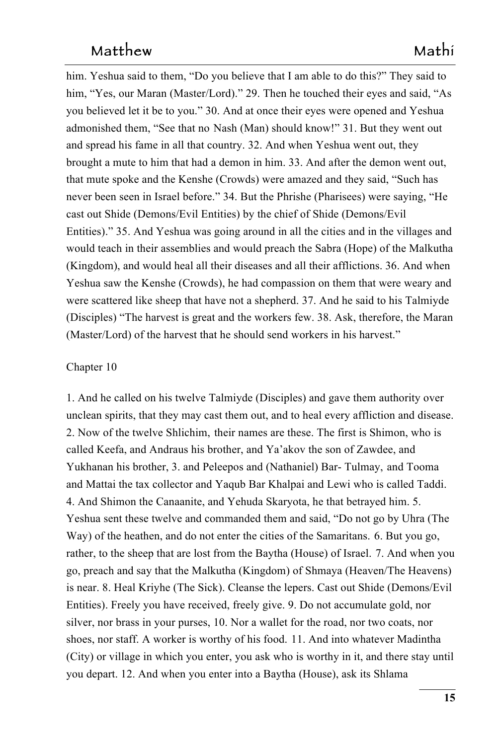him. Yeshua said to them, "Do you believe that I am able to do this?" They said to him, "Yes, our Maran (Master/Lord)." 29. Then he touched their eyes and said, "As you believed let it be to you." 30. And at once their eyes were opened and Yeshua admonished them, "See that no Nash (Man) should know!" 31. But they went out and spread his fame in all that country. 32. And when Yeshua went out, they brought a mute to him that had a demon in him. 33. And after the demon went out, that mute spoke and the Kenshe (Crowds) were amazed and they said, "Such has 492 never been seen in Israel before." 34. But the Phrishe (Pharisees) were saying, "He cast out Shide (Demons/Evil Entities) by the chief of Shide (Demons/Evil Entities)." 35. And Yeshua was going around in all the cities and in the villages and would teach in their assemblies and would preach the Sabra (Hope) of the Malkutha 496 (Kingdom), and would heal all their diseases and all their afflictions. 36. And when Yeshua saw the Kenshe (Crowds), he had compassion on them that were weary and were scattered like sheep that have not a shepherd. 37. And he said to his Talmiyde (Disciples) "The harvest is great and the workers few. 38. Ask, therefore, the Maran (Master/Lord) of the harvest that he should send workers in his harvest."

#### $Chapter 10$

1. And he called on his twelve Talmiyde (Disciples) and gave them authority over unclean spirits, that they may cast them out, and to heal every affliction and disease. 2. Now of the twelve Shlichim, their names are these. The first is Shimon, who is called Keefa, and Andraus his brother, and Ya'akov the son of Zawdee, and Yukhanan his brother, 3. and Peleepos and (Nathaniel) Bar- Tulmay, and Tooma and Mattai the tax collector and Yaqub Bar Khalpai and Lewi who is called Taddi. 4. And Shimon the Canaanite, and Yehuda Skaryota, he that betrayed him. 5. Yeshua sent these twelve and commanded them and said, "Do not go by Uhra (The Way) of the heathen, and do not enter the cities of the Samaritans. 6. But you go, rather, to the sheep that are lost from the Baytha (House) of Israel. 7. And when you go, preach and say that the Malkutha (Kingdom) of Shmaya (Heaven/The Heavens) is near. 8. Heal Kriyhe (The Sick). Cleanse the lepers. Cast out Shide (Demons/Evil Entities). Freely you have received, freely give. 9. Do not accumulate gold, nor 515 silver, nor brass in your purses, 10. Nor a wallet for the road, nor two coats, nor shoes, nor staff. A worker is worthy of his food. 11. And into whatever Madintha (City) or village in which you enter, you ask who is worthy in it, and there stay until you depart. 12. And when you enter into a Baytha (House), ask its Shlama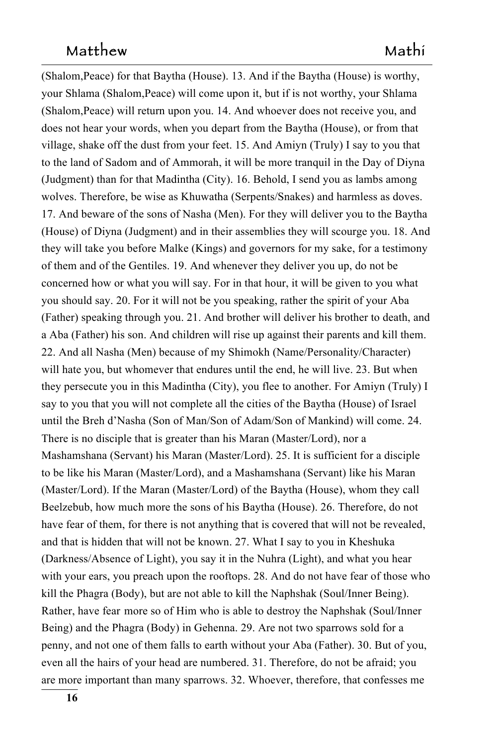(Shalom, Peace) for that Baytha (House). 13. And if the Baytha (House) is worthy, your Shlama (Shalom, Peace) will come upon it, but if is not worthy, your Shlama (Shalom, Peace) will return upon you, 14. And whoever does not receive you, and does not hear your words, when you depart from the Baytha (House), or from that village, shake off the dust from your feet. 15. And Amiyn (Truly) I say to you that to the land of Sadom and of Ammorah, it will be more tranquil in the Day of Diyna (Judgment) than for that Madintha (City).  $16$ . Behold, I send you as lambs among wolves. Therefore, be wise as Khuwatha (Serpents/Snakes) and harmless as doves. 17. And beware of the sons of Nasha (Men). For they will deliver you to the Baytha (House) of Diyna (Judgment) and in their assemblies they will scourge you. 18. And they will take you before Malke (Kings) and governors for my sake, for a testimony of them and of the Gentiles. 19. And whenever they deliver you up, do not be concerned how or what you will say. For in that hour, it will be given to you what you should say. 20. For it will not be you speaking, rather the spirit of your Aba (Father) speaking through you. 21. And brother will deliver his brother to death, and a Aba (Father) his son. And children will rise up against their parents and kill them. 22. And all Nasha (Men) because of my Shimokh (Name/Personality/Character) will hate you, but whomever that endures until the end, he will live. 23. But when they persecute you in this Madintha (City), you flee to another. For Amiyn (Truly) I say to you that you will not complete all the cities of the Baytha (House) of Israel until the Breh d'Nasha (Son of Man/Son of Adam/Son of Mankind) will come. 24. There is no disciple that is greater than his Maran (Master/Lord), nor a Mashamshana (Servant) his Maran (Master/Lord). 25. It is sufficient for a disciple to be like his Maran (Master/Lord), and a Mashamshana (Servant) like his Maran (Master/Lord). If the Maran (Master/Lord) of the Baytha (House), whom they call Beelzebub, how much more the sons of his Baytha (House). 26. Therefore, do not have fear of them, for there is not anything that is covered that will not be revealed, and that is hidden that will not be known. 27. What I say to you in Kheshuka (Darkness/Absence of Light), you say it in the Nuhra (Light), and what you hear with your ears, you preach upon the rooftops. 28. And do not have fear of those who kill the Phagra (Body), but are not able to kill the Naphshak (Soul/Inner Being). Rather, have fear more so of Him who is able to destroy the Naphshak (Soul/Inner Being) and the Phagra (Body) in Gehenna. 29. Are not two sparrows sold for a penny, and not one of them falls to earth without your Aba (Father). 30. But of you, 553 even all the hairs of your head are numbered. 31. Therefore, do not be afraid; you are more important than many sparrows. 32. Whoever, therefore, that confesses me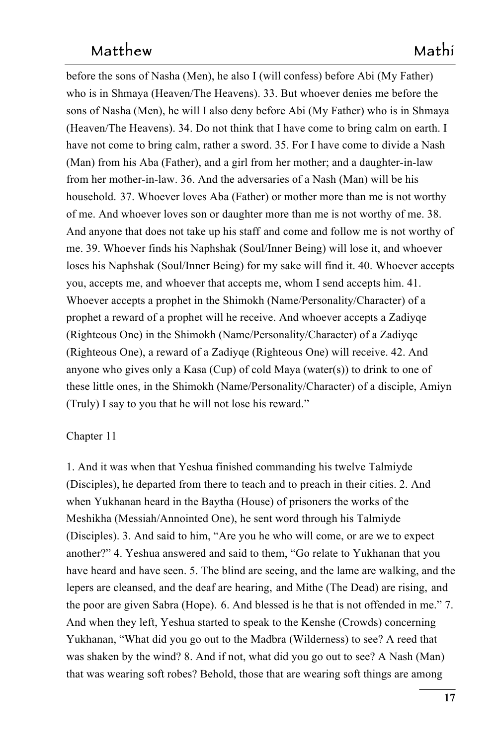before the sons of Nasha (Men), he also I (will confess) before Abi (My Father) who is in Shmaya (Heaven/The Heavens). 33. But whoever denies me before the sons of Nasha (Men), he will I also deny before Abi (My Father) who is in Shmaya (Heaven/The Heavens). 34. Do not think that I have come to bring calm on earth. I have not come to bring calm, rather a sword. 35. For I have come to divide a Nash (Man) from his Aba (Father), and a girl from her mother; and a daughter-in-law from her mother-in-law. 36. And the adversaries of a Nash (Man) will be his household. **37**. Whoever loves Aba (Father) or mother more than me is not worthy of me. And whoever loves son or daughter more than me is not worthy of me. 38. And anyone that does not take up his staff and come and follow me is not worthy of me. 39. Whoever finds his Naphshak (Soul/Inner Being) will lose it, and whoever 566 loses his Naphshak (Soul/Inner Being) for my sake will find it. 40. Whoever accepts you, accepts me, and whoever that accepts me, whom I send accepts him. 41. Whoever accepts a prophet in the Shimokh (Name/Personality/Character) of a prophet a reward of a prophet will he receive. And whoever accepts a Zadiyqe (Righteous One) in the Shimokh (Name/Personality/Character) of a Zadiyqe (Righteous One), a reward of a Zadiyge (Righteous One) will receive. 42. And anyone who gives only a Kasa (Cup) of cold Maya (water(s)) to drink to one of these little ones, in the Shimokh (Name/Personality/Character) of a disciple, Amiyn (Truly) I say to you that he will not lose his reward."

### Chapter 11

1. And it was when that Yeshua finished commanding his twelve Talmiyde (Disciples), he departed from there to teach and to preach in their cities. 2. And when Yukhanan heard in the Baytha (House) of prisoners the works of the Meshikha (Messiah/Annointed One), he sent word through his Talmiyde (Disciples). 3. And said to him, "Are you he who will come, or are we to expect another?" 4. Yeshua answered and said to them, "Go relate to Yukhanan that you have heard and have seen. 5. The blind are seeing, and the lame are walking, and the lepers are cleansed, and the deaf are hearing, and Mithe (The Dead) are rising, and 5844 the poor are given Sabra (Hope). 6. And blessed is he that is not offended in me." 7. And when they left, Yeshua started to speak to the Kenshe (Crowds) concerning Yukhanan, "What did you go out to the Madbra (Wilderness) to see? A reed that was shaken by the wind? 8. And if not, what did you go out to see? A Nash (Man) that was wearing soft robes? Behold, those that are wearing soft things are among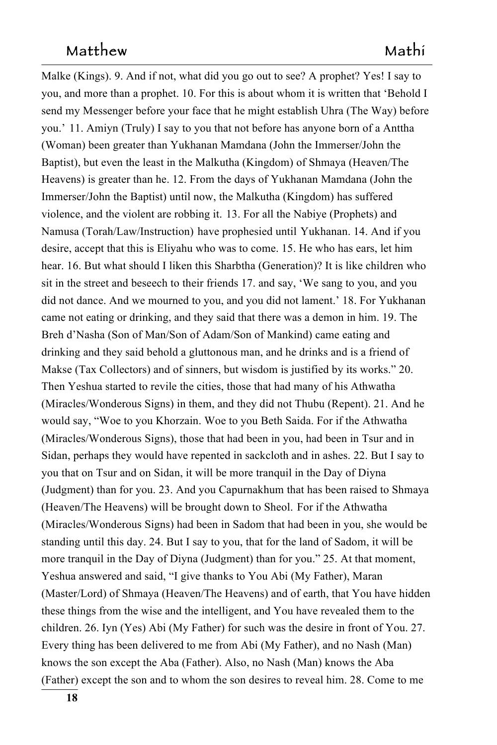Malke (Kings). 9. And if not, what did you go out to see? A prophet? Yes! I say to you, and more than a prophet. 10. For this is about whom it is written that 'Behold I send my Messenger before your face that he might establish Uhra (The Way) before you.' 11. Amiyn (Truly) I say to you that not before has anyone born of a Anttha (Woman) been greater than Yukhanan Mamdana (John the Immerser/John the Baptist), but even the least in the Malkutha (Kingdom) of Shmaya (Heaven/The Heavens) is greater than he. 12. From the days of Yukhanan Mamdana (John the Immerser/John the Baptist) until now, the Malkutha (Kingdom) has suffered violence, and the violent are robbing it. 13. For all the Nabiye (Prophets) and Namusa (Torah/Law/Instruction) have prophesied until Yukhanan. 14. And if you desire, accept that this is Eliyahu who was to come. 15. He who has ears, let him hear. 16. But what should I liken this Sharbtha (Generation)? It is like children who sit in the street and beseech to their friends  $17$ . and say, 'We sang to you, and you did not dance. And we mourned to you, and you did not lament.' 18. For Yukhanan came not eating or drinking, and they said that there was a demon in him. 19. The Breh d'Nasha (Son of Man/Son of Adam/Son of Mankind) came eating and drinking and they said behold a gluttonous man, and he drinks and is a friend of Makse (Tax Collectors) and of sinners, but wisdom is justified by its works." 20. Then Yeshua started to revile the cities, those that had many of his Athwatha (Miracles/Wonderous Signs) in them, and they did not Thubu (Repent). 21. And he would say, "Woe to you Khorzain. Woe to you Beth Saida. For if the Athwatha (Miracles/Wonderous Signs), those that had been in you, had been in Tsur and in Sidan, perhaps they would have repented in sackcloth and in ashes. 22. But I say to you that on Tsur and on Sidan, it will be more tranquil in the Day of Diyna (Judgment) than for you. 23. And you Capurnakhum that has been raised to Shmaya (Heaven/The Heavens) will be brought down to Sheol. For if the Athwatha (Miracles/Wonderous Signs) had been in Sadom that had been in you, she would be standing until this day. 24. But I say to you, that for the land of Sadom, it will be more tranquil in the Day of Diyna (Judgment) than for you." 25. At that moment, Yeshua answered and said, "I give thanks to You Abi (My Father), Maran (Master/Lord) of Shmaya (Heaven/The Heavens) and of earth, that You have hidden these things from the wise and the intelligent, and You have revealed them to the children. 26. Iyn (Yes) Abi (My Father) for such was the desire in front of You. 27. Every thing has been delivered to me from Abi (My Father), and no Nash (Man) knows the son except the Aba (Father). Also, no Nash (Man) knows the Aba  $(Father)$  except the son and to whom the son desires to reveal him. 28. Come to me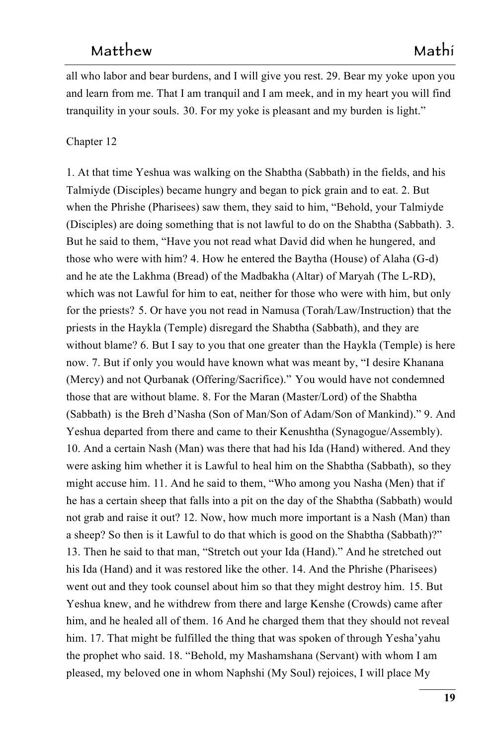all who labor and bear burdens, and I will give you rest. 29. Bear my yoke upon you 626 and learn from me. That I am tranquil and I am meek, and in my heart you will find tranquility in your souls. 30. For my yoke is pleasant and my burden is light."

#### $Chapter 12$

1. At that time Yeshua was walking on the Shabtha (Sabbath) in the fields, and his Talmiyde (Disciples) became hungry and began to pick grain and to eat. 2. But when the Phrishe (Pharisees) saw them, they said to him, "Behold, your Talmiyde (Disciples) are doing something that is not lawful to do on the Shabtha (Sabbath).   $3.$ But he said to them, "Have you not read what David did when he hungered, and 6344 those who were with him? 4. How he entered the Baytha (House) of Alaha  $(G-d)$ and he ate the Lakhma (Bread) of the Madbakha (Altar) of Maryah (The L-RD), which was not Lawful for him to eat, neither for those who were with him, but only for the priests? 5. Or have you not read in Namusa (Torah/Law/Instruction) that the priests in the Haykla (Temple) disregard the Shabtha (Sabbath), and they are without blame? 6. But I say to you that one greater than the Haykla (Temple) is here than the Haykla (Temple) is here now. 7. But if only you would have known what was meant by, "I desire Khanana" (Mercy) and not Qurbanak (Offering/Sacrifice)." You would have not condemned those that are without blame. 8. For the Maran (Master/Lord) of the Shabtha (Sabbath) is the Breh d'Nasha (Son of Man/Son of Adam/Son of Mankind)." 9. And Yeshua departed from there and came to their Kenushtha (Synagogue/Assembly). 10. And a certain Nash (Man) was there that had his Ida (Hand) withered. And they were asking him whether it is Lawful to heal him on the Shabtha (Sabbath),  so they might accuse him. 11. And he said to them, "Who among you Nasha (Men) that if he has a certain sheep that falls into a pit on the day of the Shabtha (Sabbath) would not grab and raise it out? 12. Now, how much more important is a Nash (Man) than a sheep? So then is it Lawful to do that which is good on the Shabtha (Sabbath)?" 13. Then he said to that man, "Stretch out your Ida (Hand)." And he stretched out his Ida (Hand) and it was restored like the other. 14. And the Phrishe (Pharisees) went out and they took counsel about him so that they might destroy him.  $15.$  But Yeshua knew, and he withdrew from there and large Kenshe (Crowds) came after him, and he healed all of them. 16 And he charged them that they should not reveal him. 17. That might be fulfilled the thing that was spoken of through Yesha'yahu the prophet who said. 18. "Behold, my Mashamshana (Servant) with whom I am pleased, my beloved one in whom Naphshi (My Soul) rejoices, I will place My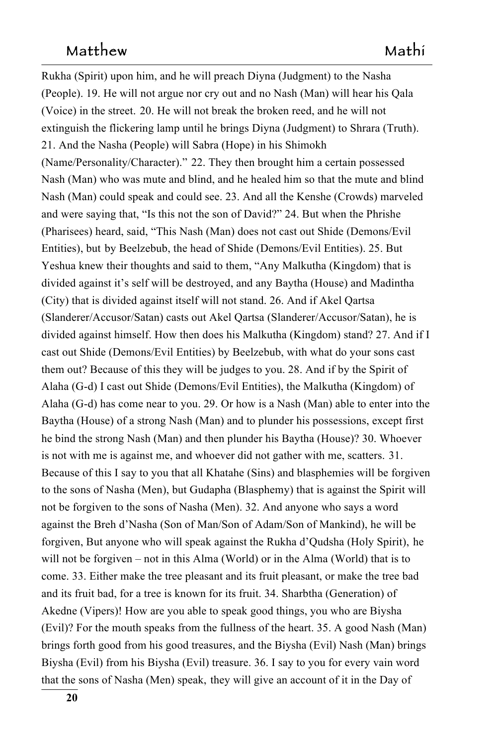Rukha (Spirit) upon him, and he will preach Diyna (Judgment) to the Nasha (People). 19. He will not argue nor cry out and no Nash (Man) will hear his Qala (Voice) in the street. 20. He will not break the broken reed, and he will not extinguish the flickering lamp until he brings Diyna (Judgment) to Shrara (Truth). 21. And the Nasha (People) will Sabra (Hope) in his Shimokh (Name/Personality/Character)." 22. They then brought him a certain possessed Nash (Man) who was mute and blind, and he healed him so that the mute and blind Nash (Man) could speak and could see. 23. And all the Kenshe (Crowds) marveled and were saying that, "Is this not the son of David?" 24. But when the Phrishe (Pharisees) heard, said, "This Nash (Man) does not cast out Shide (Demons/Evil Entities), but by Beelzebub, the head of Shide (Demons/Evil Entities). 25. But Yeshua knew their thoughts and said to them, "Any Malkutha (Kingdom) that is divided against it's self will be destroyed, and any Baytha (House) and Madintha (City) that is divided against itself will not stand. 26. And if Akel Qartsa (Slanderer/Accusor/Satan) casts out Akel Qartsa (Slanderer/Accusor/Satan), he is 674 divided against himself. How then does his Malkutha (Kingdom) stand? 27. And if I cast out Shide (Demons/Evil Entities) by Beelzebub, with what do your sons cast them out? Because of this they will be judges to you. 28. And if by the Spirit of Alaha (G-d) I cast out Shide (Demons/Evil Entities), the Malkutha (Kingdom) of Alaha (G-d) has come near to you. 29. Or how is a Nash (Man) able to enter into the Baytha (House) of a strong Nash (Man) and to plunder his possessions, except first he bind the strong Nash (Man) and then plunder his Baytha (House)? 30. Whoever is not with me is against me, and whoever did not gather with me, scatters.  $31.$ Because of this I say to you that all Khatahe (Sins) and blasphemies will be forgiven to the sons of Nasha (Men), but Gudapha (Blasphemy) that is against the Spirit will not be forgiven to the sons of Nasha (Men). 32. And anyone who says a word against the Breh d'Nasha (Son of Man/Son of Adam/Son of Mankind), he will be forgiven, But anyone who will speak against the Rukha d'Qudsha (Holy Spirit),  he 687 will not be forgiven – not in this Alma (World) or in the Alma (World) that is to come. 33. Either make the tree pleasant and its fruit pleasant, or make the tree bad and its fruit bad, for a tree is known for its fruit. 34. Sharbtha (Generation) of Akedne (Vipers)! How are you able to speak good things, you who are Biysha  $(Evil)$ ? For the mouth speaks from the fullness of the heart. 35. A good Nash (Man) brings forth good from his good treasures, and the Biysha (Evil) Nash (Man) brings Biysha (Evil) from his Biysha (Evil) treasure. 36. I say to you for every vain word that the sons of Nasha (Men) speak, they will give an account of it in the Day of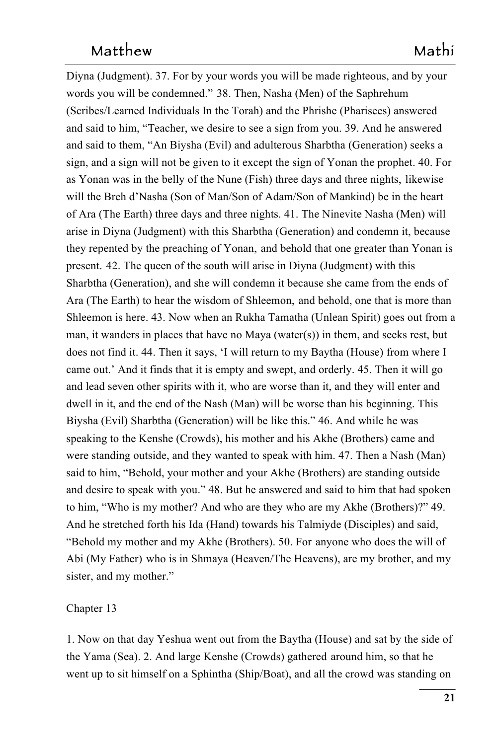Diyna (Judgment). 37. For by your words you will be made righteous, and by your words you will be condemned." 38. Then, Nasha (Men) of the Saphrehum (Scribes/Learned Individuals In the Torah) and the Phrishe (Pharisees) answered and said to him, "Teacher, we desire to see a sign from you. 39. And he answered and said to them, "An Biysha (Evil) and adulterous Sharbtha (Generation) seeks a sign, and a sign will not be given to it except the sign of Yonan the prophet. 40. For as Yonan was in the belly of the Nune (Fish) three days and three nights,  likewise will the Breh d'Nasha (Son of Man/Son of Adam/Son of Mankind) be in the heart of Ara (The Earth) three days and three nights. 41. The Ninevite Nasha (Men) will arise in Diyna (Judgment) with this Sharbtha (Generation) and condemn it, because they repented by the preaching of Yonan, and behold that one greater than Yonan is present. 42. The queen of the south will arise in Diyna (Judgment) with this Sharbtha (Generation), and she will condemn it because she came from the ends of Ara (The Earth) to hear the wisdom of Shleemon, and behold, one that is more than and behold, one that is more than Shleemon is here. 43. Now when an Rukha Tamatha (Unlean Spirit) goes out from a man, it wanders in places that have no Maya (water $(s)$ ) in them, and seeks rest, but does not find it. 44. Then it says, 'I will return to my Baytha (House) from where I came out.' And it finds that it is empty and swept, and orderly. 45. Then it will go and lead seven other spirits with it, who are worse than it, and they will enter and dwell in it, and the end of the Nash (Man) will be worse than his beginning. This Biysha (Evil) Sharbtha (Generation) will be like this." 46. And while he was speaking to the Kenshe (Crowds), his mother and his Akhe (Brothers) came and were standing outside, and they wanted to speak with him. 47. Then a Nash (Man) said to him, "Behold, your mother and your Akhe (Brothers) are standing outside and desire to speak with you." 48. But he answered and said to him that had spoken to him, "Who is my mother? And who are they who are my Akhe (Brothers)?" 49. And he stretched forth his Ida (Hand) towards his Talmiyde (Disciples) and said, "Behold my mother and my Akhe (Brothers). 50. For anyone who does the will of Abi (My Father) who is in Shmaya (Heaven/The Heavens), are my brother, and my sister, and my mother."

#### Chapter 13

1. Now on that day Yeshua went out from the Baytha (House) and sat by the side of the Yama (Sea). 2. And large Kenshe (Crowds) gathered around him, so that he went up to sit himself on a Sphintha (Ship/Boat), and all the crowd was standing on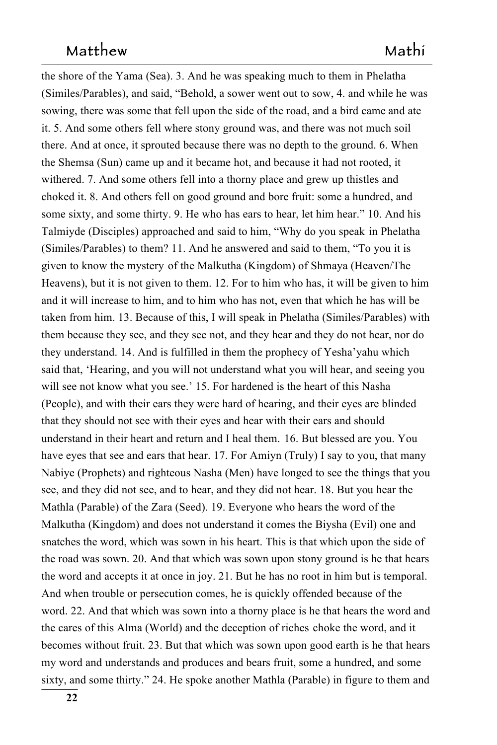the shore of the Yama (Sea). 3. And he was speaking much to them in Phelatha (Similes/Parables), and said, "Behold, a sower went out to sow, 4. and while he was sowing, there was some that fell upon the side of the road, and a bird came and ate it. 5. And some others fell where stony ground was, and there was not much soil there. And at once, it sprouted because there was no depth to the ground. 6. When the Shemsa (Sun) came up and it became hot, and because it had not rooted, it withered. 7. And some others fell into a thorny place and grew up thistles and choked it. 8. And others fell on good ground and bore fruit: some a hundred, and some sixty, and some thirty. 9. He who has ears to hear, let him hear." 10. And his Talmiyde (Disciples) approached and said to him, "Why do you speak in Phelatha (Similes/Parables) to them? 11. And he answered and said to them, "To you it is given to know the mystery of the Malkutha (Kingdom) of Shmaya (Heaven/The Heavens), but it is not given to them. 12. For to him who has, it will be given to him and it will increase to him, and to him who has not, even that which he has will be taken from him. 13. Because of this, I will speak in Phelatha (Similes/Parables) with them because they see, and they see not, and they hear and they do not hear, nor do they understand. 14. And is fulfilled in them the prophecy of Yesha'yahu which 746 said that, 'Hearing, and you will not understand what you will hear, and seeing you will see not know what you see.' 15. For hardened is the heart of this Nasha (People), and with their ears they were hard of hearing, and their eyes are blinded that they should not see with their eyes and hear with their ears and should understand in their heart and return and I heal them. 16. But blessed are you. You have eyes that see and ears that hear. 17. For Amiyn (Truly) I say to you, that many Nabiye (Prophets) and righteous Nasha (Men) have longed to see the things that you see, and they did not see, and to hear, and they did not hear. 18. But you hear the Mathla (Parable) of the Zara (Seed). 19. Everyone who hears the word of the Malkutha (Kingdom) and does not understand it comes the Biysha (Evil) one and snatches the word, which was sown in his heart. This is that which upon the side of the road was sown. 20. And that which was sown upon stony ground is he that hears the word and accepts it at once in joy. 21. But he has no root in him but is temporal. And when trouble or persecution comes, he is quickly offended because of the word. 22. And that which was sown into a thorny place is he that hears the word and the cares of this Alma (World) and the deception of riches choke the word, and it becomes without fruit. 23. But that which was sown upon good earth is he that hears my word and understands and produces and bears fruit, some a hundred, and some sixty, and some thirty." 24. He spoke another Mathla (Parable) in figure to them and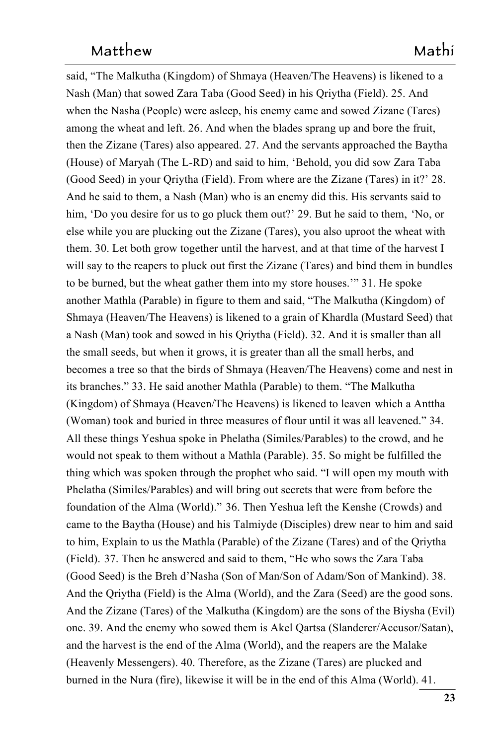said, "The Malkutha (Kingdom) of Shmaya (Heaven/The Heavens) is likened to a Nash (Man) that sowed Zara Taba (Good Seed) in his Qriytha (Field). 25. And when the Nasha (People) were asleep, his enemy came and sowed Zizane (Tares) among the wheat and left. 26. And when the blades sprang up and bore the fruit, then the Zizane (Tares) also appeared. 27. And the servants approached the Baytha (House) of Maryah (The L-RD) and said to him, 'Behold, you did sow Zara Taba (Good Seed) in your Oriytha (Field). From where are the Zizane (Tares) in it?' 28. And he said to them, a Nash (Man) who is an enemy did this. His servants said to him, 'Do you desire for us to go pluck them out?' 29. But he said to them, 'No, or 'No, or else while you are plucking out the Zizane (Tares), you also uproot the wheat with them. 30. Let both grow together until the harvest, and at that time of the harvest  $I$ will say to the reapers to pluck out first the Zizane (Tares) and bind them in bundles to be burned, but the wheat gather them into my store houses." 31. He spoke another Mathla (Parable) in figure to them and said, "The Malkutha (Kingdom) of Shmaya (Heaven/The Heavens) is likened to a grain of Khardla (Mustard Seed) that a Nash (Man) took and sowed in his Qriytha (Field). 32. And it is smaller than all 781 the small seeds, but when it grows, it is greater than all the small herbs, and becomes a tree so that the birds of Shmaya (Heaven/The Heavens) come and nest in its branches." 33. He said another Mathla (Parable) to them. "The Malkutha (Kingdom) of Shmaya (Heaven/The Heavens) is likened to leaven which a Anttha (Woman) took and buried in three measures of flour until it was all leavened." 34. All these things Yeshua spoke in Phelatha (Similes/Parables) to the crowd, and he would not speak to them without a Mathla (Parable). 35. So might be fulfilled the thing which was spoken through the prophet who said. "I will open my mouth with Phelatha (Similes/Parables) and will bring out secrets that were from before the foundation of the Alma (World)." 36. Then Yeshua left the Kenshe (Crowds) and came to the Baytha (House) and his Talmiyde (Disciples) drew near to him and said to him, Explain to us the Mathla (Parable) of the Zizane (Tares) and of the Qriytha (Field). 37. Then he answered and said to them, "He who sows the Zara Taba (Good Seed) is the Breh d'Nasha (Son of Man/Son of Adam/Son of Mankind). 38. And the Qriytha (Field) is the Alma (World), and the Zara (Seed) are the good sons. And the Zizane (Tares) of the Malkutha (Kingdom) are the sons of the Biysha (Evil) one. 39. And the enemy who sowed them is Akel Qartsa (Slanderer/Accusor/Satan), 798 and the harvest is the end of the Alma (World), and the reapers are the Malake (Heavenly Messengers). 40. Therefore, as the Zizane (Tares) are plucked and burned in the Nura (fire), likewise it will be in the end of this Alma (World). 41.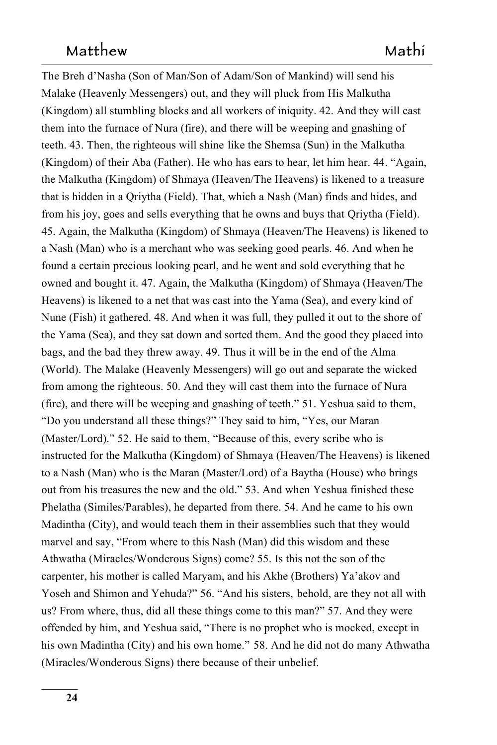The Breh d'Nasha (Son of Man/Son of Adam/Son of Mankind) will send his Malake (Heavenly Messengers) out, and they will pluck from His Malkutha  $(Kingdom)$  all stumbling blocks and all workers of iniquity. 42. And they will cast them into the furnace of Nura (fire), and there will be weeping and gnashing of teeth. 43. Then, the righteous will shine like the Shemsa (Sun) in the Malkutha (Kingdom) of their Aba (Father). He who has ears to hear, let him hear. 44. "Again, the Malkutha (Kingdom) of Shmaya (Heaven/The Heavens) is likened to a treasure that is hidden in a Qriytha (Field). That, which a Nash (Man) finds and hides, and from his joy, goes and sells everything that he owns and buys that Oriytha (Field). 45. Again, the Malkutha (Kingdom) of Shmaya (Heaven/The Heavens) is likened to a Nash (Man) who is a merchant who was seeking good pearls. 46. And when he found a certain precious looking pearl, and he went and sold everything that he owned and bought it. 47. Again, the Malkutha (Kingdom) of Shmaya (Heaven/The Heavens) is likened to a net that was cast into the Yama (Sea), and every kind of Nune (Fish) it gathered. 48. And when it was full, they pulled it out to the shore of the Yama (Sea), and they sat down and sorted them. And the good they placed into 817 bags, and the bad they threw away. 49. Thus it will be in the end of the Alma (World). The Malake (Heavenly Messengers) will go out and separate the wicked from among the righteous. 50. And they will cast them into the furnace of Nura (fire), and there will be weeping and gnashing of teeth."  $51$ . Yeshua said to them, "Do you understand all these things?" They said to him, "Yes, our Maran 822 (Master/Lord)." 52. He said to them, "Because of this, every scribe who is instructed for the Malkutha (Kingdom) of Shmaya (Heaven/The Heavens) is likened to a Nash (Man) who is the Maran (Master/Lord) of a Baytha (House) who brings out from his treasures the new and the old." 53. And when Yeshua finished these Phelatha (Similes/Parables), he departed from there. 54. And he came to his own Madintha (City), and would teach them in their assemblies such that they would marvel and say, "From where to this Nash (Man) did this wisdom and these Athwatha (Miracles/Wonderous Signs) come? 55. Is this not the son of the carpenter, his mother is called Maryam, and his Akhe (Brothers) Ya'akov and Yoseh and Shimon and Yehuda?" 56. "And his sisters, behold, are they not all with behold, are they not all with us? From where, thus, did all these things come to this man?" 57. And they were offended by him, and Yeshua said, "There is no prophet who is mocked, except in 834 his own Madintha (City) and his own home." 58. And he did not do many Athwatha (Miracles/Wonderous Signs) there because of their unbelief.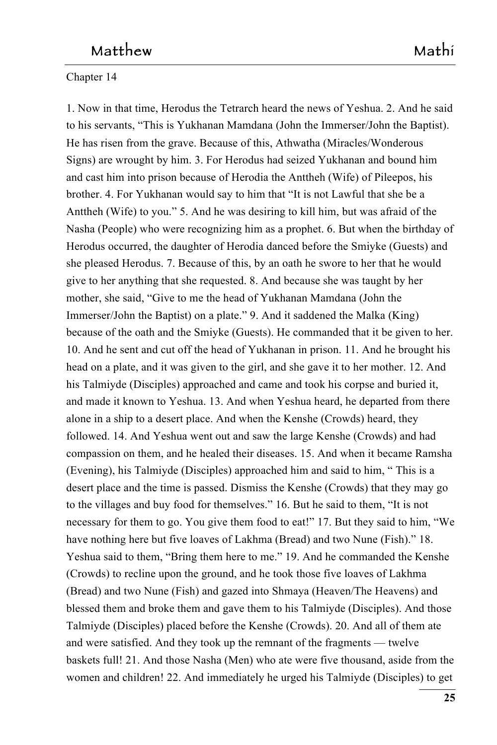### Chapter 14

1. Now in that time, Herodus the Tetrarch heard the news of Yeshua. 2. And he said to his servants, "This is Yukhanan Mamdana (John the Immerser/John the Baptist). He has risen from the grave. Because of this, Athwatha (Miracles/Wonderous Signs) are wrought by him. 3. For Herodus had seized Yukhanan and bound him and cast him into prison because of Herodia the Anttheh (Wife) of Pileepos, his brother. 4. For Yukhanan would say to him that "It is not Lawful that she be a Anttheh (Wife) to you." 5. And he was desiring to kill him, but was afraid of the Nasha (People) who were recognizing him as a prophet. 6. But when the birthday of Herodus occurred, the daughter of Herodia danced before the Smiyke (Guests) and she pleased Herodus. 7. Because of this, by an oath he swore to her that he would give to her anything that she requested. 8. And because she was taught by her mother, she said, "Give to me the head of Yukhanan Mamdana (John the Immerser/John the Baptist) on a plate." 9. And it saddened the Malka (King) because of the oath and the Smiyke (Guests). He commanded that it be given to her. 10. And he sent and cut off the head of Yukhanan in prison. 11. And he brought his head on a plate, and it was given to the girl, and she gave it to her mother. 12. And his Talmiyde (Disciples) approached and came and took his corpse and buried it, and made it known to Yeshua. 13. And when Yeshua heard, he departed from there alone in a ship to a desert place. And when the Kenshe (Crowds) heard, they followed. 14. And Yeshua went out and saw the large Kenshe (Crowds) and had compassion on them, and he healed their diseases. 15. And when it became Ramsha (Evening), his Talmiyde (Disciples) approached him and said to him, "This is a desert place and the time is passed. Dismiss the Kenshe (Crowds) that they may go to the villages and buy food for themselves." 16. But he said to them, "It is not necessary for them to go. You give them food to eat!" 17. But they said to him, "We have nothing here but five loaves of Lakhma (Bread) and two Nune (Fish)." 18. Yeshua said to them, "Bring them here to me." 19. And he commanded the Kenshe (Crowds) to recline upon the ground, and he took those five loaves of Lakhma (Bread) and two Nune (Fish) and gazed into Shmaya (Heaven/The Heavens) and blessed them and broke them and gave them to his Talmiyde (Disciples). And those Talmiyde (Disciples) placed before the Kenshe (Crowds). 20. And all of them ate and were satisfied. And they took up the remnant of the fragments — twelve baskets full! 21. And those Nasha (Men) who ate were five thousand, aside from the women and children! 22. And immediately he urged his Talmiyde (Disciples) to get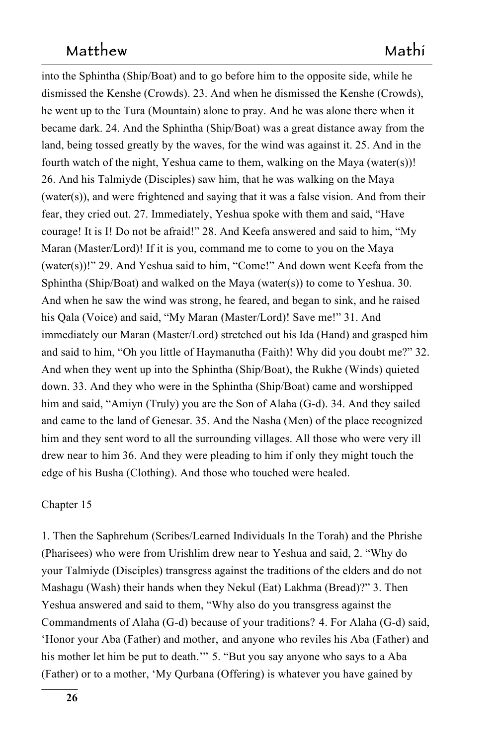into the Sphintha (Ship/Boat) and to go before him to the opposite side, while he dismissed the Kenshe (Crowds). 23. And when he dismissed the Kenshe (Crowds), he went up to the Tura (Mountain) alone to pray. And he was alone there when it became dark. 24. And the Sphintha (Ship/Boat) was a great distance away from the land, being tossed greatly by the waves, for the wind was against it. 25. And in the fourth watch of the night, Yeshua came to them, walking on the Maya (water(s))! 26. And his Talmiyde (Disciples) saw him, that he was walking on the Maya (water(s)), and were frightened and saying that it was a false vision. And from their fear, they cried out. 27. Immediately, Yeshua spoke with them and said, "Have courage! It is I! Do not be afraid!" 28. And Keefa answered and said to him, "My Maran (Master/Lord)! If it is you, command me to come to you on the Maya (water(s))!" 29. And Yeshua said to him, "Come!" And down went Keefa from the Sphintha (Ship/Boat) and walked on the Maya (water(s)) to come to Yeshua. 30. And when he saw the wind was strong, he feared, and began to sink, and he raised his Qala (Voice) and said, "My Maran (Master/Lord)! Save me!" 31. And immediately our Maran (Master/Lord) stretched out his Ida (Hand) and grasped him and said to him, "Oh you little of Haymanutha (Faith)! Why did you doubt me?" 32. And when they went up into the Sphintha (Ship/Boat), the Rukhe (Winds) quieted down. 33. And they who were in the Sphintha (Ship/Boat) came and worshipped him and said, "Amiyn (Truly) you are the Son of Alaha  $(G-d)$ . 34. And they sailed and came to the land of Genesar. 35. And the Nasha (Men) of the place recognized him and they sent word to all the surrounding villages. All those who were very ill drew near to him 36. And they were pleading to him if only they might touch the edge of his Busha (Clothing). And those who touched were healed.

#### $Chapter 15$

1. Then the Saphrehum (Scribes/Learned Individuals In the Torah) and the Phrishe (Pharisees) who were from Urishlim drew near to Yeshua and said, 2. "Why do your Talmiyde (Disciples) transgress against the traditions of the elders and do not Mashagu (Wash) their hands when they Nekul (Eat) Lakhma (Bread)?" 3. Then Yeshua answered and said to them, "Why also do you transgress against the Commandments of Alaha (G-d) because of your traditions? 4. For Alaha (G-d) said, Honor your Aba (Father) and mother, and anyone who reviles his Aba (Father) and his mother let him be put to death.<sup>194</sup> 5. "But you say anyone who says to a Aba (Father) or to a mother, 'My Qurbana (Offering) is whatever you have gained by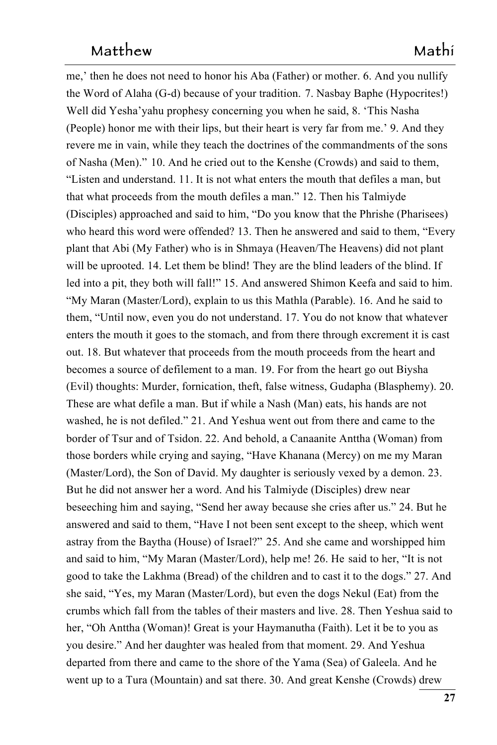me,' then he does not need to honor his Aba (Father) or mother. 6. And you nullify the Word of Alaha (G-d) because of your tradition. 7. Nasbay Baphe (Hypocrites!) Well did Yesha'yahu prophesy concerning you when he said, 8. 'This Nasha (People) honor me with their lips, but their heart is very far from me.' 9. And they revere me in vain, while they teach the doctrines of the commandments of the sons of Nasha (Men)." 10. And he cried out to the Kenshe (Crowds) and said to them, "Listen and understand. 11. It is not what enters the mouth that defiles a man, but that what proceeds from the mouth defiles a man." 12. Then his Talmiyde (Disciples) approached and said to him, "Do you know that the Phrishe (Pharisees) who heard this word were offended? 13. Then he answered and said to them, "Every plant that Abi (My Father) who is in Shmaya (Heaven/The Heavens) did not plant will be uprooted. 14. Let them be blind! They are the blind leaders of the blind. If led into a pit, they both will fall!" 15. And answered Shimon Keefa and said to him. "My Maran (Master/Lord), explain to us this Mathla (Parable). 16. And he said to them, "Until now, even you do not understand. 17. You do not know that whatever enters the mouth it goes to the stomach, and from there through excrement it is cast out. 18. But whatever that proceeds from the mouth proceeds from the heart and becomes a source of defilement to a man. 19. For from the heart go out Biysha (Evil) thoughts: Murder, fornication, theft, false witness, Gudapha (Blasphemy). 20. These are what defile a man. But if while a Nash (Man) eats, his hands are not washed, he is not defiled." 21. And Yeshua went out from there and came to the border of Tsur and of Tsidon. 22. And behold, a Canaanite Anttha (Woman) from those borders while crying and saying, "Have Khanana (Mercy) on me my Maran (Master/Lord), the Son of David. My daughter is seriously vexed by a demon. 23. But he did not answer her a word. And his Talmiyde (Disciples) drew near beseeching him and saying, "Send her away because she cries after us." 24. But he answered and said to them, "Have I not been sent except to the sheep, which went astray from the Baytha (House) of Israel?" 25. And she came and worshipped him and said to him, "My Maran (Master/Lord), help me! 26. He said to her, "It is not good to take the Lakhma (Bread) of the children and to cast it to the dogs." 27. And she said, "Yes, my Maran (Master/Lord), but even the dogs Nekul (Eat) from the crumbs which fall from the tables of their masters and live. 28. Then Yeshua said to her, "Oh Anttha (Woman)! Great is your Haymanutha (Faith). Let it be to you as you desire." And her daughter was healed from that moment. 29. And Yeshua departed from there and came to the shore of the Yama (Sea) of Galeela. And he went up to a Tura (Mountain) and sat there. 30. And great Kenshe (Crowds) drew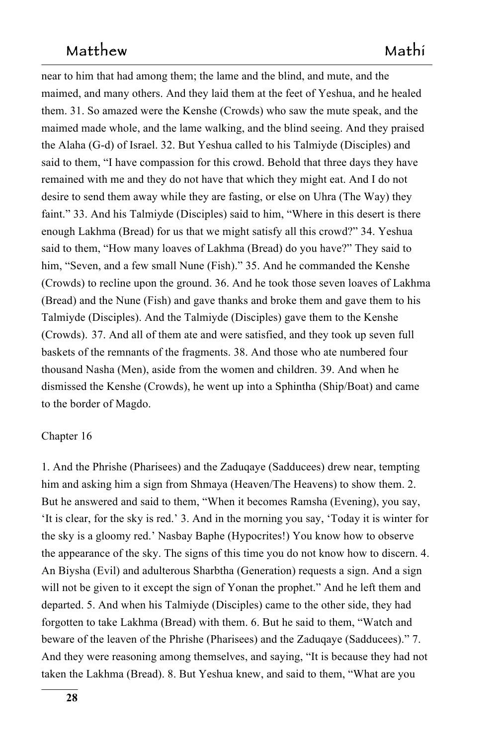near to him that had among them; the lame and the blind, and mute, and the maimed, and many others. And they laid them at the feet of Yeshua, and he healed them. 31. So amazed were the Kenshe (Crowds) who saw the mute speak, and the maimed made whole, and the lame walking, and the blind seeing. And they praised the Alaha (G-d) of Israel. 32. But Yeshua called to his Talmiyde (Disciples) and said to them, "I have compassion for this crowd. Behold that three days they have remained with me and they do not have that which they might eat. And I do not desire to send them away while they are fasting, or else on Uhra (The Way) they faint." 33. And his Talmiyde (Disciples) said to him, "Where in this desert is there enough Lakhma (Bread) for us that we might satisfy all this crowd?" 34. Yeshua said to them, "How many loaves of Lakhma (Bread) do you have?" They said to him, "Seven, and a few small Nune (Fish)." 35. And he commanded the Kenshe (Crowds) to recline upon the ground.  $36$ . And he took those seven loaves of Lakhma (Bread) and the Nune (Fish) and gave thanks and broke them and gave them to his Talmiyde (Disciples). And the Talmiyde (Disciples) gave them to the Kenshe (Crowds). 37. And all of them ate and were satisfied, and they took up seven full baskets of the remnants of the fragments. 38. And those who ate numbered four thousand Nasha (Men), aside from the women and children. 39. And when he dismissed the Kenshe (Crowds), he went up into a Sphintha (Ship/Boat) and came to the border of Magdo.

#### $Chapter 16$

1. And the Phrishe (Pharisees) and the Zaduqaye (Sadducees) drew near, tempting 963 him and asking him a sign from Shmaya (Heaven/The Heavens) to show them. 2. But he answered and said to them, "When it becomes Ramsha (Evening), you say, 'It is clear, for the sky is red.' 3. And in the morning you say, 'Today it is winter for 966 the sky is a gloomy red.' Nasbay Baphe (Hypocrites!) You know how to observe the appearance of the sky. The signs of this time you do not know how to discern. 4. An Biysha (Evil) and adulterous Sharbtha (Generation) requests a sign. And a sign will not be given to it except the sign of Yonan the prophet." And he left them and departed. 5. And when his Talmiyde (Disciples) came to the other side, they had forgotten to take Lakhma (Bread) with them. 6. But he said to them, "Watch and beware of the leaven of the Phrishe (Pharisees) and the Zaduqaye (Sadducees)." 7. And they were reasoning among themselves, and saying, "It is because they had not taken the Lakhma (Bread). 8. But Yeshua knew, and said to them, "What are you 975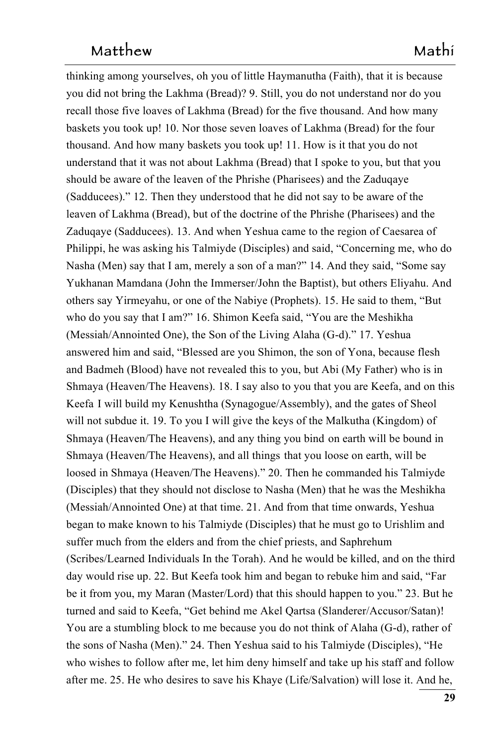thinking among yourselves, oh you of little Haymanutha (Faith), that it is because 976 you did not bring the Lakhma (Bread)? 9. Still, you do not understand nor do you recall those five loaves of Lakhma (Bread) for the five thousand. And how many baskets you took up! 10. Nor those seven loaves of Lakhma (Bread) for the four thousand. And how many baskets you took up! 11. How is it that you do not understand that it was not about Lakhma (Bread) that I spoke to you, but that you 981 should be aware of the leaven of the Phrishe (Pharisees) and the Zaduqaye (Sadducees)." 12. Then they understood that he did not say to be aware of the leaven of Lakhma (Bread), but of the doctrine of the Phrishe (Pharisees) and the Zaduqaye (Sadducees). 13. And when Yeshua came to the region of Caesarea of Philippi, he was asking his Talmiyde (Disciples) and said, "Concerning me, who do Nasha (Men) say that I am, merely a son of a man?" 14. And they said, "Some say Yukhanan Mamdana (John the Immerser/John the Baptist), but others Eliyahu. And others say Yirmeyahu, or one of the Nabiye (Prophets). 15. He said to them, "But who do you say that I am?" 16. Shimon Keefa said, "You are the Meshikha (Messiah/Annointed One), the Son of the Living Alaha (G-d)." 17. Yeshua answered him and said, "Blessed are you Shimon, the son of Yona, because flesh and Badmeh (Blood) have not revealed this to you, but Abi (My Father) who is in Shmaya (Heaven/The Heavens). 18. I say also to you that you are Keefa, and on this Keefa I will build my Kenushtha (Synagogue/Assembly), and the gates of Sheol will not subdue it. 19. To you I will give the keys of the Malkutha (Kingdom) of Shmaya (Heaven/The Heavens), and any thing you bind on earth will be bound in on earth will be bound in Shmaya (Heaven/The Heavens), and all things that you loose on earth, will be that you loose on earth, will be loosed in Shmaya (Heaven/The Heavens)." 20. Then he commanded his Talmiyde (Disciples) that they should not disclose to Nasha (Men) that he was the Meshikha (Messiah/Annointed One) at that time. 21. And from that time onwards, Yeshua began to make known to his Talmiyde (Disciples) that he must go to Urishlim and suffer much from the elders and from the chief priests, and Saphrehum (Scribes/Learned Individuals In the Torah). And he would be killed, and on the third day would rise up. 22. But Keefa took him and began to rebuke him and said, "Far be it from you, my Maran (Master/Lord) that this should happen to you."  $23$ . But he turned and said to Keefa, "Get behind me Akel Qartsa (Slanderer/Accusor/Satan)! You are a stumbling block to me because you do not think of Alaha  $(G-d)$ , rather of the sons of Nasha (Men)." 24. Then Yeshua said to his Talmiyde (Disciples), "He who wishes to follow after me, let him deny himself and take up his staff and follow after me. 25. He who desires to save his Khaye (Life/Salvation) will lose it. And he,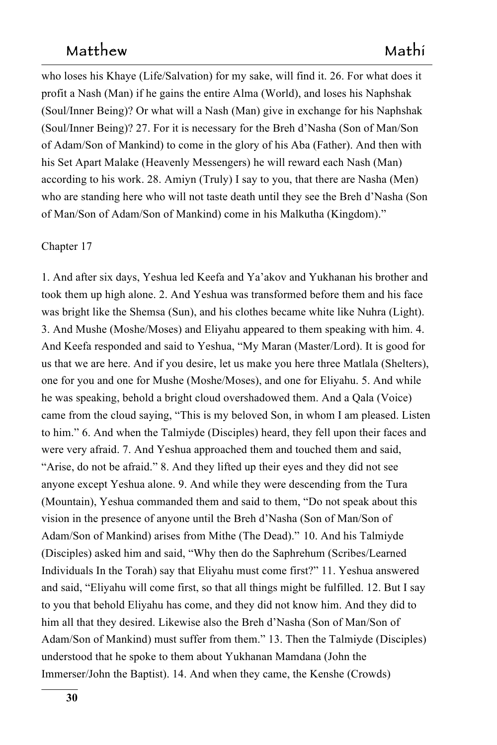who loses his Khaye (Life/Salvation) for my sake, will find it. 26. For what does it profit a Nash (Man) if he gains the entire Alma (World), and loses his Naphshak (Soul/Inner Being)? Or what will a Nash (Man) give in exchange for his Naphshak (Soul/Inner Being)? 27. For it is necessary for the Breh d'Nasha (Son of Man/Son of Adam/Son of Mankind) to come in the glory of his Aba (Father). And then with his Set Apart Malake (Heavenly Messengers) he will reward each Nash (Man) according to his work. 28. Amiyn (Truly) I say to you, that there are Nasha (Men) who are standing here who will not taste death until they see the Breh d'Nasha (Son of Man/Son of Adam/Son of Mankind) come in his Malkutha (Kingdom)."

#### Chapter 17

1. And after six days, Yeshua led Keefa and Ya'akov and Yukhanan his brother and took them up high alone. 2. And Yeshua was transformed before them and his face was bright like the Shemsa (Sun), and his clothes became white like Nuhra (Light). 3. And Mushe (Moshe/Moses) and Eliyahu appeared to them speaking with him. 4. And Keefa responded and said to Yeshua, "My Maran (Master/Lord). It is good for us that we are here. And if you desire, let us make you here three Matlala (Shelters), one for you and one for Mushe (Moshe/Moses), and one for Eliyahu. 5. And while he was speaking, behold a bright cloud overshadowed them. And a Qala (Voice) came from the cloud saying, "This is my beloved Son, in whom I am pleased. Listen to him." 6. And when the Talmiyde (Disciples) heard, they fell upon their faces and were very afraid. 7. And Yeshua approached them and touched them and said, "Arise, do not be afraid." 8. And they lifted up their eyes and they did not see anyone except Yeshua alone. 9. And while they were descending from the Tura (Mountain), Yeshua commanded them and said to them, "Do not speak about this vision in the presence of anyone until the Breh d'Nasha (Son of Man/Son of Adam/Son of Mankind) arises from Mithe (The Dead)." 10. And his Talmiyde 10. And his Talmiyde (Disciples) asked him and said, "Why then do the Saphrehum (Scribes/Learned Individuals In the Torah) say that Eliyahu must come first?" 11. Yeshua answered and said, "Eliyahu will come first, so that all things might be fulfilled. 12. But I say to you that behold Eliyahu has come, and they did not know him. And they did to him all that they desired. Likewise also the Breh d'Nasha (Son of Man/Son of Adam/Son of Mankind) must suffer from them." 13. Then the Talmiyde (Disciples) understood that he spoke to them about Yukhanan Mamdana (John the Immerser/John the Baptist). 14. And when they came, the Kenshe (Crowds)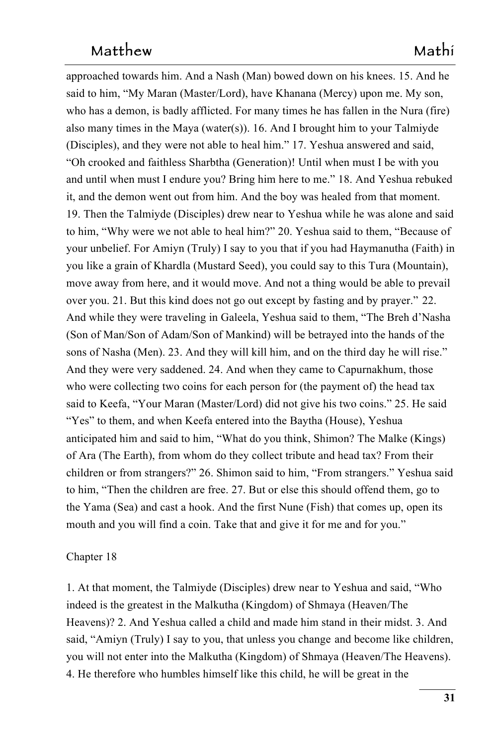approached towards him. And a Nash (Man) bowed down on his knees. 15. And he said to him, "My Maran (Master/Lord), have Khanana (Mercy) upon me. My son, who has a demon, is badly afflicted. For many times he has fallen in the Nura (fire) also many times in the Maya (water(s)). 16. And I brought him to your Talmiyde (Disciples), and they were not able to heal him." 17. Yeshua answered and said, "Oh crooked and faithless Sharbtha (Generation)! Until when must I be with you and until when must I endure you? Bring him here to me."  $18$ . And Yeshua rebuked it, and the demon went out from him. And the boy was healed from that moment. 19. Then the Talmiyde (Disciples) drew near to Yeshua while he was alone and said to him, "Why were we not able to heal him?" 20. Yeshua said to them, "Because of your unbelief. For Amiyn (Truly) I say to you that if you had Haymanutha (Faith) in 1056 you like a grain of Khardla (Mustard Seed), you could say to this Tura (Mountain), 1057 move away from here, and it would move. And not a thing would be able to prevail over you. 21. But this kind does not go out except by fasting and by prayer."  $22.$ And while they were traveling in Galeela, Yeshua said to them, "The Breh d'Nasha (Son of Man/Son of Adam/Son of Mankind) will be betrayed into the hands of the sons of Nasha (Men). 23. And they will kill him, and on the third day he will rise." And they were very saddened. 24. And when they came to Capurnakhum, those who were collecting two coins for each person for (the payment of) the head tax said to Keefa, "Your Maran (Master/Lord) did not give his two coins." 25. He said "Yes" to them, and when Keefa entered into the Baytha (House), Yeshua anticipated him and said to him, "What do you think, Shimon? The Malke (Kings) of Ara (The Earth), from whom do they collect tribute and head tax? From their children or from strangers?" 26. Shimon said to him, "From strangers." Yeshua said to him, "Then the children are free.  $27$ . But or else this should offend them, go to the Yama (Sea) and cast a hook. And the first Nune (Fish) that comes up, open its mouth and you will find a coin. Take that and give it for me and for you."

#### Chapter 18

1. At that moment, the Talmiyde (Disciples) drew near to Yeshua and said, "Who indeed is the greatest in the Malkutha (Kingdom) of Shmaya (Heaven/The Heavens)? 2. And Yeshua called a child and made him stand in their midst. 3. And said, "Amiyn (Truly) I say to you, that unless you change and become like children, and become like children, you will not enter into the Malkutha (Kingdom) of Shmaya (Heaven/The Heavens). 1078 4. He therefore who humbles himself like this child, he will be great in the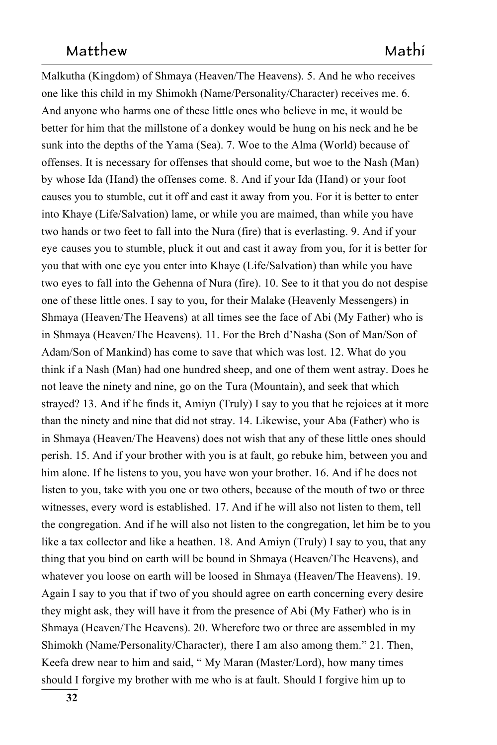Malkutha (Kingdom) of Shmaya (Heaven/The Heavens). 5. And he who receives one like this child in my Shimokh (Name/Personality/Character) receives me. 6. And anyone who harms one of these little ones who believe in me, it would be better for him that the millstone of a donkey would be hung on his neck and he be sunk into the depths of the Yama (Sea). 7. Woe to the Alma (World) because of offenses. It is necessary for offenses that should come, but woe to the Nash (Man) by whose Ida (Hand) the offenses come. 8. And if your Ida (Hand) or your foot causes you to stumble, cut it off and cast it away from you. For it is better to enter into Khaye (Life/Salvation) lame, or while you are maimed, than while you have two hands or two feet to fall into the Nura (fire) that is everlasting. 9. And if your eye causes you to stumble, pluck it out and cast it away from you, for it is better for you that with one eye you enter into Khaye (Life/Salvation) than while you have two eyes to fall into the Gehenna of Nura (fire). 10. See to it that you do not despise one of these little ones. I say to you, for their Malake (Heavenly Messengers) in Shmaya (Heaven/The Heavens) at all times see the face of Abi (My Father) who is in Shmaya (Heaven/The Heavens). 11. For the Breh d'Nasha (Son of Man/Son of Adam/Son of Mankind) has come to save that which was lost. 12. What do you think if a Nash (Man) had one hundred sheep, and one of them went astray. Does he not leave the ninety and nine, go on the Tura (Mountain), and seek that which strayed? 13. And if he finds it, Amiyn (Truly) I say to you that he rejoices at it more than the ninety and nine that did not stray. 14. Likewise, your Aba (Father) who is in Shmaya (Heaven/The Heavens) does not wish that any of these little ones should perish. 15. And if your brother with you is at fault, go rebuke him, between you and him alone. If he listens to you, you have won your brother. 16. And if he does not listen to you, take with you one or two others, because of the mouth of two or three witnesses, every word is established. 17. And if he will also not listen to them, tell 17. And if he will also not listen to them, tell the congregation. And if he will also not listen to the congregation, let him be to you like a tax collector and like a heathen. 18. And Amiyn (Truly) I say to you, that any thing that you bind on earth will be bound in Shmaya (Heaven/The Heavens), and whatever you loose on earth will be loosed in Shmaya (Heaven/The Heavens). 19. in Shmaya (Heaven/The Heavens). 19. Again I say to you that if two of you should agree on earth concerning every desire they might ask, they will have it from the presence of Abi (My Father) who is in 1111 Shmaya (Heaven/The Heavens). 20. Wherefore two or three are assembled in my Shimokh (Name/Personality/Character),  there I am also among them." 21. Then, Keefa drew near to him and said, " My Maran (Master/Lord), how many times should I forgive my brother with me who is at fault. Should I forgive him up to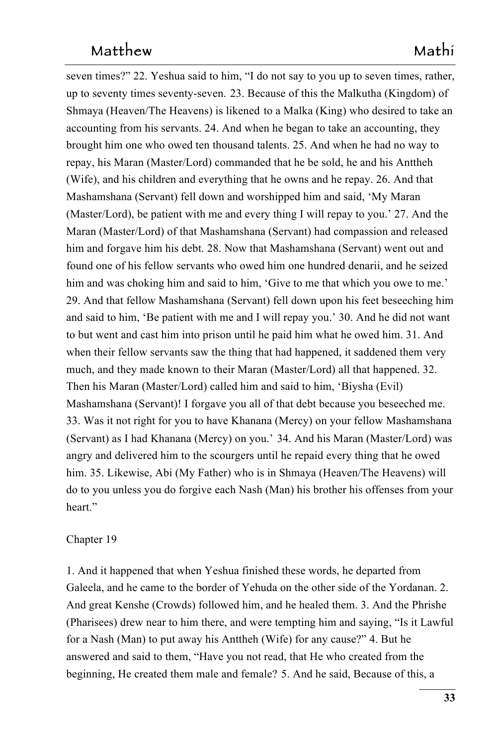seven times?" 22. Yeshua said to him, "I do not say to you up to seven times, rather, up to seventy times seventy-seven. 23. Because of this the Malkutha (Kingdom) of 1117 Shmaya (Heaven/The Heavens) is likened to a Malka (King) who desired to take an to a Malka (King) who desired to take an accounting from his servants. 24. And when he began to take an accounting, they brought him one who owed ten thousand talents. 25. And when he had no way to repay, his Maran (Master/Lord) commanded that he be sold, he and his Anttheh (Wife), and his children and everything that he owns and he repay.  $26$ . And that Mashamshana (Servant) fell down and worshipped him and said, 'My Maran (Master/Lord), be patient with me and every thing I will repay to you.' 27. And the Maran (Master/Lord) of that Mashamshana (Servant) had compassion and released him and forgave him his debt. 28. Now that Mashamshana (Servant) went out and found one of his fellow servants who owed him one hundred denarii, and he seized him and was choking him and said to him, 'Give to me that which you owe to me.' 29. And that fellow Mashamshana (Servant) fell down upon his feet beseeching him and said to him, 'Be patient with me and I will repay you.' 30. And he did not want to but went and cast him into prison until he paid him what he owed him. 31. And when their fellow servants saw the thing that had happened, it saddened them very much, and they made known to their Maran (Master/Lord) all that happened. 32. Then his Maran (Master/Lord) called him and said to him, 'Biysha (Evil) Mashamshana (Servant)! I forgave you all of that debt because you beseeched me. 33. Was it not right for you to have Khanana (Mercy) on your fellow Mashamshana (Servant) as I had Khanana (Mercy) on you.' 34. And his Maran (Master/Lord) was angry and delivered him to the scourgers until he repaid every thing that he owed him. 35. Likewise, Abi (My Father) who is in Shmaya (Heaven/The Heavens) will do to you unless you do forgive each Nash (Man) his brother his offenses from your 1140 heart."

#### Chapter 19

1. And it happened that when Yeshua finished these words, he departed from Galeela, and he came to the border of Yehuda on the other side of the Yordanan. 2. And great Kenshe (Crowds) followed him, and he healed them. 3. And the Phrishe (Pharisees) drew near to him there, and were tempting him and saying, "Is it Lawful for a Nash (Man) to put away his Anttheh (Wife) for any cause?" 4. But he answered and said to them, "Have you not read, that He who created from the beginning, He created them male and female? 5. And he said, Because of this, a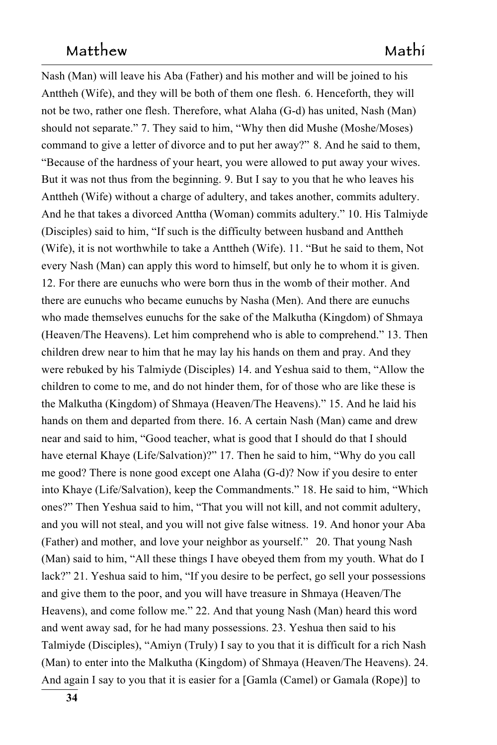Nash (Man) will leave his Aba (Father) and his mother and will be joined to his Anttheh (Wife), and they will be both of them one flesh. 6. Henceforth, they will not be two, rather one flesh. Therefore, what Alaha (G-d) has united, Nash (Man) should not separate." 7. They said to him, "Why then did Mushe (Moshe/Moses) command to give a letter of divorce and to put her away?" 8. And he said to them, "Because of the hardness of your heart, you were allowed to put away your wives. But it was not thus from the beginning. 9. But I say to you that he who leaves his Anttheh (Wife) without a charge of adultery, and takes another, commits adultery. And he that takes a divorced Anttha (Woman) commits adultery." 10. His Talmiyde (Disciples) said to him, "If such is the difficulty between husband and Anttheh (Wife), it is not worthwhile to take a Anttheh (Wife).  $11$ . "But he said to them, Not every Nash (Man) can apply this word to himself, but only he to whom it is given. 12. For there are eunuchs who were born thus in the womb of their mother. And there are eunuchs who became eunuchs by Nasha (Men). And there are eunuchs who made themselves eunuchs for the sake of the Malkutha (Kingdom) of Shmaya (Heaven/The Heavens). Let him comprehend who is able to comprehend." 13. Then children drew near to him that he may lay his hands on them and pray. And they were rebuked by his Talmiyde (Disciples) 14. and Yeshua said to them, "Allow the children to come to me, and do not hinder them, for of those who are like these is the Malkutha (Kingdom) of Shmaya (Heaven/The Heavens)." 15. And he laid his hands on them and departed from there. 16. A certain Nash (Man) came and drew near and said to him, "Good teacher, what is good that I should do that I should have eternal Khaye (Life/Salvation)?" 17. Then he said to him, "Why do you call me good? There is none good except one Alaha  $(G-d)$ ? Now if you desire to enter into Khaye (Life/Salvation), keep the Commandments." 18. He said to him, "Which ones?" Then Yeshua said to him, "That you will not kill, and not commit adultery, and you will not steal, and you will not give false witness. 19. And honor your Aba (Father) and mother, and love your neighbor as yourself." 20. That young Nash (Man) said to him, "All these things I have obeyed them from my youth. What do I  $lack?" 21. Yeshua said to him, "If you desire to be perfect, go sell your possessions"$ and give them to the poor, and you will have treasure in Shmaya (Heaven/The Heavens), and come follow me." 22. And that young Nash (Man) heard this word and went away sad, for he had many possessions. 23. Yeshua then said to his Talmiyde (Disciples), "Amiyn (Truly) I say to you that it is difficult for a rich Nash (Man) to enter into the Malkutha (Kingdom) of Shmaya (Heaven/The Heavens). 24. And again I say to you that it is easier for a [Gamla (Camel) or Gamala (Rope)] to 1185 and 1185 and 1185 and 1185 and 1185 and 1185 and 1185 and 1185 and 1185 and 1185 and 1185 and 1185 and 1185 and 1185 and 1185 and 1185 and 1185 and 1185 and 1185 and 1185 and 1185 and 1185 and 1185 and 1185 and 118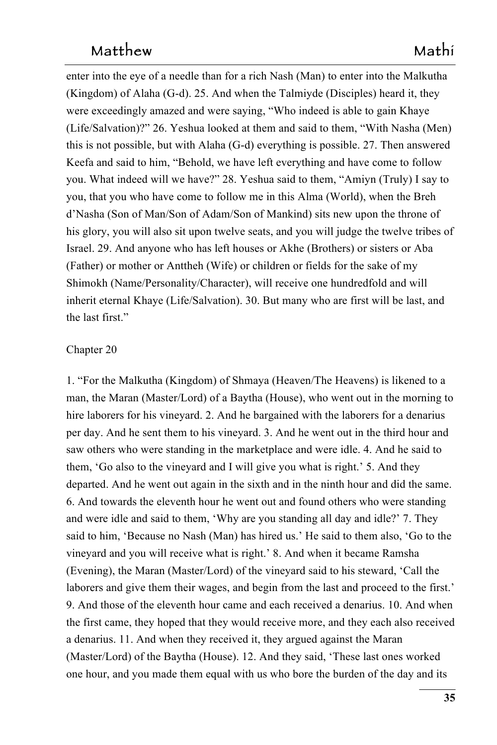enter into the eye of a needle than for a rich Nash (Man) to enter into the Malkutha (Kingdom) of Alaha  $(G-d)$ . 25. And when the Talmiyde (Disciples) heard it, they were exceedingly amazed and were saying, "Who indeed is able to gain Khaye (Life/Salvation)?" 26. Yeshua looked at them and said to them, "With Nasha (Men) this is not possible, but with Alaha  $(G-d)$  everything is possible. 27. Then answered Keefa and said to him, "Behold, we have left everything and have come to follow you. What indeed will we have?" 28. Yeshua said to them, "Amiyn (Truly) I say to you, that you who have come to follow me in this Alma (World), when the Breh d'Nasha (Son of Man/Son of Adam/Son of Mankind) sits new upon the throne of his glory, you will also sit upon twelve seats, and you will judge the twelve tribes of Israel. 29. And anyone who has left houses or Akhe (Brothers) or sisters or Aba (Father) or mother or Anttheh (Wife) or children or fields for the sake of my Shimokh (Name/Personality/Character), will receive one hundredfold and will inherit eternal Khaye (Life/Salvation). 30. But many who are first will be last, and the last first."

#### Chapter 20 1201 2012 1201 2012 1201 2012 1201 2012 1201 2012 1201 2012 1201 2012 1201 2012 1201 2012 1201 2012 1201 2012 1201 2012 1201 2012 1201 2012 1201 2012 1201 2012 1201 2012 1201 2012 1201 2012 1201 2012 1201 2012 1

1. "For the Malkutha (Kingdom) of Shmaya (Heaven/The Heavens) is likened to a man, the Maran (Master/Lord) of a Baytha (House), who went out in the morning to hire laborers for his vineyard. 2. And he bargained with the laborers for a denarius per day. And he sent them to his vineyard. 3. And he went out in the third hour and saw others who were standing in the marketplace and were idle. 4. And he said to them, 'Go also to the vineyard and I will give you what is right.' 5. And they departed. And he went out again in the sixth and in the ninth hour and did the same. 6. And towards the eleventh hour he went out and found others who were standing and were idle and said to them, 'Why are you standing all day and idle?' 7. They said to him, 'Because no Nash (Man) has hired us.' He said to them also, 'Go to the vineyard and you will receive what is right.' 8. And when it became Ramsha (Evening), the Maran (Master/Lord) of the vineyard said to his steward, 'Call the laborers and give them their wages, and begin from the last and proceed to the first.' 9. And those of the eleventh hour came and each received a denarius. 10. And when the first came, they hoped that they would receive more, and they each also received a denarius. 11. And when they received it, they argued against the Maran (Master/Lord) of the Baytha (House). 12. And they said, 'These last ones worked one hour, and you made them equal with us who bore the burden of the day and its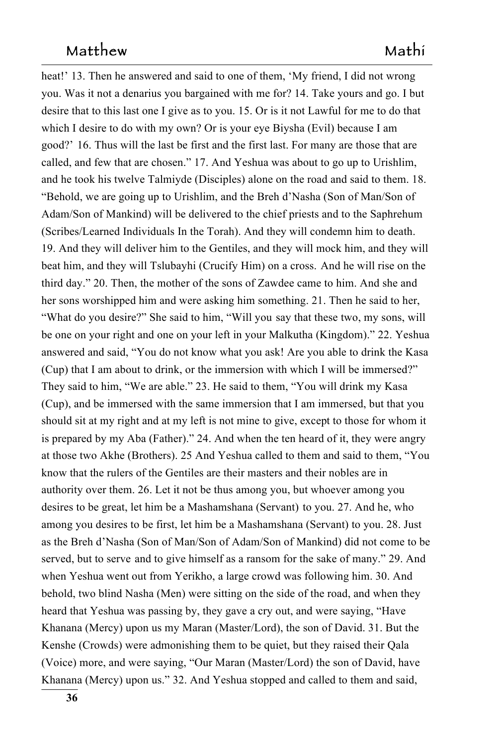heat!' 13. Then he answered and said to one of them, 'My friend, I did not wrong you. Was it not a denarius you bargained with me for? 14. Take yours and go. I but desire that to this last one I give as to you. 15. Or is it not Lawful for me to do that which I desire to do with my own? Or is your eye Biysha (Evil) because I am good?' 16. Thus will the last be first and the first last. For many are those that are called, and few that are chosen." 17. And Yeshua was about to go up to Urishlim, and he took his twelve Talmiyde (Disciples) alone on the road and said to them. 18. "Behold, we are going up to Urishlim, and the Breh d'Nasha (Son of Man/Son of 1227 Adam/Son of Mankind) will be delivered to the chief priests and to the Saphrehum (Scribes/Learned Individuals In the Torah). And they will condemn him to death. 19. And they will deliver him to the Gentiles, and they will mock him, and they will beat him, and they will Tslubayhi (Crucify Him) on a cross.  And he will rise on the third day." 20. Then, the mother of the sons of Zawdee came to him. And she and her sons worshipped him and were asking him something. 21. Then he said to her, "What do you desire?" She said to him, "Will you say that these two, my sons, will say that these two, my sons, will be one on your right and one on your left in your Malkutha (Kingdom)." 22. Yeshua answered and said, "You do not know what you ask! Are you able to drink the Kasa (Cup) that I am about to drink, or the immersion with which I will be immersed?" They said to him, "We are able." 23. He said to them, "You will drink my Kasa (Cup), and be immersed with the same immersion that I am immersed, but that you should sit at my right and at my left is not mine to give, except to those for whom it is prepared by my Aba (Father)." 24. And when the ten heard of it, they were angry at those two Akhe (Brothers). 25 And Yeshua called to them and said to them, "You know that the rulers of the Gentiles are their masters and their nobles are in authority over them. 26. Let it not be thus among you, but whoever among you desires to be great, let him be a Mashamshana (Servant) to you. 27. And he, who to you.  $27$ . And he, who among you desires to be first, let him be a Mashamshana (Servant) to you. 28. Just as the Breh d'Nasha (Son of Man/Son of Adam/Son of Mankind) did not come to be served, but to serve and to give himself as a ransom for the sake of many." 29. And when Yeshua went out from Yerikho, a large crowd was following him. 30. And behold, two blind Nasha (Men) were sitting on the side of the road, and when they heard that Yeshua was passing by, they gave a cry out, and were saying, "Have Khanana (Mercy) upon us my Maran (Master/Lord), the son of David. 31. But the Kenshe (Crowds) were admonishing them to be quiet, but they raised their Qala (Voice) more, and were saying, "Our Maran (Master/Lord) the son of David, have Khanana (Mercy) upon us." 32. And Yeshua stopped and called to them and said,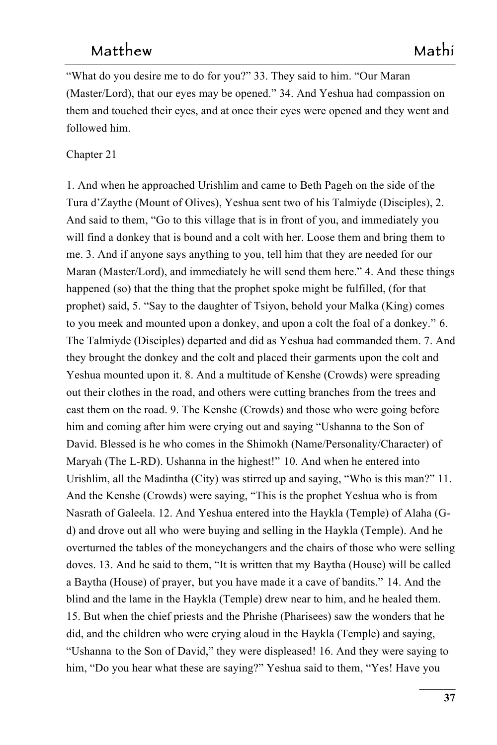"What do you desire me to do for you?" 33. They said to him. "Our Maran" (Master/Lord), that our eyes may be opened." 34. And Yeshua had compassion on them and touched their eyes, and at once their eyes were opened and they went and followed him.

#### Chapter 21

1. And when he approached Urishlim and came to Beth Pageh on the side of the Tura d'Zaythe (Mount of Olives), Yeshua sent two of his Talmiyde (Disciples), 2. And said to them, "Go to this village that is in front of you, and immediately you will find a donkey that is bound and a colt with her. Loose them and bring them to me. 3. And if anyone says anything to you, tell him that they are needed for our Maran (Master/Lord), and immediately he will send them here." 4. And these things happened (so) that the thing that the prophet spoke might be fulfilled, (for that prophet) said, 5. "Say to the daughter of Tsiyon, behold your Malka (King) comes to you meek and mounted upon a donkey, and upon a colt the foal of a donkey." 6. The Talmiyde (Disciples) departed and did as Yeshua had commanded them. 7. And they brought the donkey and the colt and placed their garments upon the colt and Yeshua mounted upon it. 8. And a multitude of Kenshe (Crowds) were spreading out their clothes in the road, and others were cutting branches from the trees and cast them on the road. 9. The Kenshe (Crowds) and those who were going before him and coming after him were crying out and saying "Ushanna to the Son of David. Blessed is he who comes in the Shimokh (Name/Personality/Character) of Maryah (The L-RD). Ushanna in the highest!" 10. And when he entered into 10. And when he entered into Urishlim, all the Madintha (City) was stirred up and saying, "Who is this man?" 11. And the Kenshe (Crowds) were saying, "This is the prophet Yeshua who is from Nasrath of Galeela. 12. And Yeshua entered into the Haykla (Temple) of Alaha (Gd) and drove out all who were buying and selling in the Haykla (Temple). And he overturned the tables of the moneychangers and the chairs of those who were selling doves. 13. And he said to them, "It is written that my Baytha (House) will be called a Baytha (House) of prayer, but you have made it a cave of bandits." 14. And the blind and the lame in the Haykla (Temple) drew near to him, and he healed them. 15. But when the chief priests and the Phrishe (Pharisees) saw the wonders that he did, and the children who were crying aloud in the Haykla (Temple) and saying, "Ushanna to the Son of David," they were displeased! 16. And they were saying to him, "Do you hear what these are saying?" Yeshua said to them, "Yes! Have you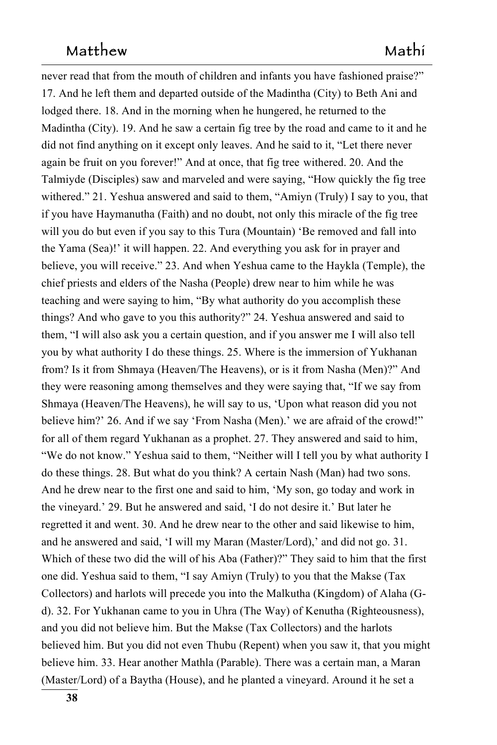never read that from the mouth of children and infants you have fashioned praise?" 17. And he left them and departed outside of the Madintha (City) to Beth Ani and lodged there. 18. And in the morning when he hungered, he returned to the Madintha (City). 19. And he saw a certain fig tree by the road and came to it and he did not find anything on it except only leaves. And he said to it, "Let there never again be fruit on you forever!" And at once, that fig tree withered. 20. And the withered. 20. And the Talmiyde (Disciples) saw and marveled and were saying, "How quickly the fig tree withered." 21. Yeshua answered and said to them, "Amiyn (Truly) I say to you, that if you have Haymanutha (Faith) and no doubt, not only this miracle of the fig tree will you do but even if you say to this Tura (Mountain) 'Be removed and fall into the Yama (Sea)!' it will happen. 22. And everything you ask for in prayer and believe, you will receive." 23. And when Yeshua came to the Haykla (Temple), the chief priests and elders of the Nasha (People) drew near to him while he was teaching and were saying to him, "By what authority do you accomplish these things? And who gave to you this authority?" 24. Yeshua answered and said to them, "I will also ask you a certain question, and if you answer me I will also tell you by what authority I do these things. 25. Where is the immersion of Yukhanan from? Is it from Shmaya (Heaven/The Heavens), or is it from Nasha (Men)?" And they were reasoning among themselves and they were saying that, "If we say from Shmaya (Heaven/The Heavens), he will say to us, 'Upon what reason did you not believe him?' 26. And if we say 'From Nasha (Men).' we are afraid of the crowd!" for all of them regard Yukhanan as a prophet. 27. They answered and said to him, "We do not know." Yeshua said to them, "Neither will I tell you by what authority I do these things. 28. But what do you think? A certain Nash (Man) had two sons. And he drew near to the first one and said to him, 'My son, go today and work in the vineyard.' 29. But he answered and said, 'I do not desire it.' But later he regretted it and went. 30. And he drew near to the other and said likewise to him, and he answered and said, 'I will my Maran (Master/Lord),' and did not go. 31. Which of these two did the will of his Aba (Father)?" They said to him that the first one did. Yeshua said to them, "I say Amiyn (Truly) to you that the Makse (Tax 1320 Collectors) and harlots will precede you into the Malkutha (Kingdom) of Alaha (Gd). 32. For Yukhanan came to you in Uhra (The Way) of Kenutha (Righteousness), and you did not believe him. But the Makse (Tax Collectors) and the harlots believed him. But you did not even Thubu (Repent) when you saw it, that you might believe him. 33. Hear another Mathla (Parable). There was a certain man, a Maran (Master/Lord) of a Baytha (House), and he planted a vineyard. Around it he set a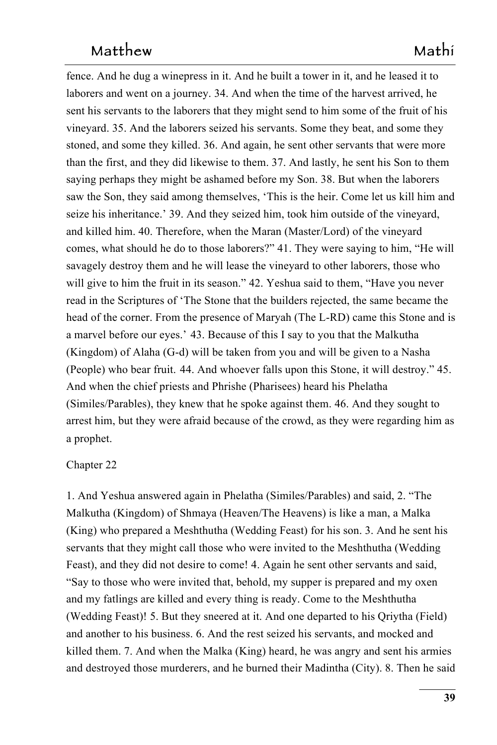fence. And he dug a winepress in it. And he built a tower in it, and he leased it to laborers and went on a journey. 34. And when the time of the harvest arrived, he sent his servants to the laborers that they might send to him some of the fruit of his vineyard. 35. And the laborers seized his servants. Some they beat, and some they stoned, and some they killed. 36. And again, he sent other servants that were more than the first, and they did likewise to them. 37. And lastly, he sent his Son to them saying perhaps they might be ashamed before my Son. 38. But when the laborers saw the Son, they said among themselves, 'This is the heir. Come let us kill him and seize his inheritance.' 39. And they seized him, took him outside of the vineyard, and killed him. 40. Therefore, when the Maran (Master/Lord) of the vineyard comes, what should he do to those laborers?" 41. They were saying to him, "He will savagely destroy them and he will lease the vineyard to other laborers, those who will give to him the fruit in its season." 42. Yeshua said to them, "Have you never read in the Scriptures of 'The Stone that the builders rejected, the same became the head of the corner. From the presence of Maryah (The L-RD) came this Stone and is a marvel before our eyes.' 43. Because of this I say to you that the Malkutha 43. Because of this I say to you that the Malkutha (Kingdom) of Alaha  $(G-d)$  will be taken from you and will be given to a Nasha (People) who bear fruit. 44. And whoever falls upon this Stone, it will destroy." 45. And when the chief priests and Phrishe (Pharisees) heard his Phelatha (Similes/Parables), they knew that he spoke against them. 46. And they sought to arrest him, but they were afraid because of the crowd, as they were regarding him as a prophet.

#### Chapter 22

1. And Yeshua answered again in Phelatha (Similes/Parables) and said, 2. "The Malkutha (Kingdom) of Shmaya (Heaven/The Heavens) is like a man, a Malka  $(King)$  who prepared a Meshthutha (Wedding Feast) for his son. 3. And he sent his servants that they might call those who were invited to the Meshthutha (Wedding Feast), and they did not desire to come! 4. Again he sent other servants and said, "Say to those who were invited that, behold, my supper is prepared and my oxen and my fatlings are killed and every thing is ready. Come to the Meshthutha (Wedding Feast)! 5. But they sneered at it. And one departed to his Qriytha (Field) 1358 and another to his business. 6. And the rest seized his servants, and mocked and killed them. 7. And when the Malka (King) heard, he was angry and sent his armies and destroyed those murderers, and he burned their Madintha (City). 8. Then he said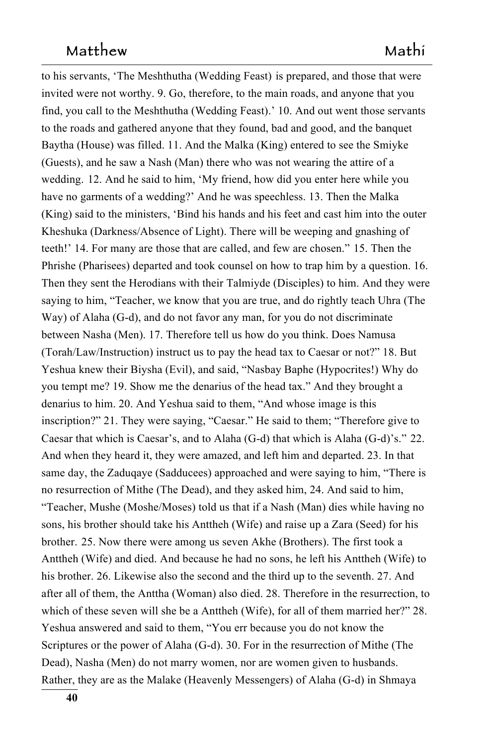to his servants, 'The Meshthutha (Wedding Feast) is prepared, and those that were invited were not worthy. 9. Go, therefore, to the main roads, and anyone that you find, you call to the Meshthutha (Wedding Feast).' 10. And out went those servants to the roads and gathered anyone that they found, bad and good, and the banquet Baytha (House) was filled. 11. And the Malka (King) entered to see the Smiyke (Guests), and he saw a Nash (Man) there who was not wearing the attire of a wedding. 12. And he said to him, 'My friend, how did you enter here while you have no garments of a wedding?' And he was speechless. 13. Then the Malka  $(King)$  said to the ministers, 'Bind his hands and his feet and cast him into the outer Kheshuka (Darkness/Absence of Light). There will be weeping and gnashing of teeth!' 14. For many are those that are called, and few are chosen." 15. Then the Phrishe (Pharisees) departed and took counsel on how to trap him by a question. 16. Then they sent the Herodians with their Talmiyde (Disciples) to him. And they were saying to him, "Teacher, we know that you are true, and do rightly teach Uhra (The Way) of Alaha  $(G-d)$ , and do not favor any man, for you do not discriminate between Nasha (Men). 17. Therefore tell us how do you think. Does Namusa (Torah/Law/Instruction) instruct us to pay the head tax to Caesar or not?" 18. But Yeshua knew their Biysha (Evil), and said, "Nasbay Baphe (Hypocrites!) Why do you tempt me? 19. Show me the denarius of the head tax." And they brought a denarius to him. 20. And Yeshua said to them, "And whose image is this inscription?" 21. They were saying, "Caesar." He said to them; "Therefore give to Caesar that which is Caesar's, and to Alaha (G-d) that which is Alaha (G-d)'s." 22. And when they heard it, they were amazed, and left him and departed. 23. In that same day, the Zaduqaye (Sadducees) approached and were saying to him, "There is no resurrection of Mithe (The Dead), and they asked him, 24. And said to him, "Teacher, Mushe (Moshe/Moses) told us that if a Nash (Man) dies while having no sons, his brother should take his Anttheh (Wife) and raise up a Zara (Seed) for his brother. 25. Now there were among us seven Akhe (Brothers). The first took a Anttheh (Wife) and died. And because he had no sons, he left his Anttheh (Wife) to his brother. 26. Likewise also the second and the third up to the seventh. 27. And after all of them, the Anttha (Woman) also died. 28. Therefore in the resurrection, to which of these seven will she be a Anttheh (Wife), for all of them married her?"  $28$ . Yeshua answered and said to them, "You err because you do not know the Scriptures or the power of Alaha  $(G-d)$ . 30. For in the resurrection of Mithe (The Dead), Nasha (Men) do not marry women, nor are women given to husbands. Rather, they are as the Malake (Heavenly Messengers) of Alaha (G-d) in Shmaya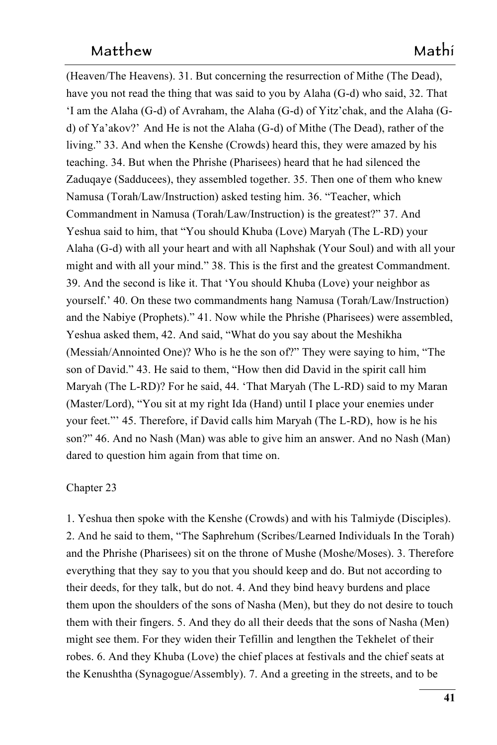(Heaven/The Heavens). 31. But concerning the resurrection of Mithe (The Dead), have you not read the thing that was said to you by Alaha  $(G-d)$  who said, 32. That 'I am the Alaha  $(G-d)$  of Avraham, the Alaha  $(G-d)$  of Yitz'chak, and the Alaha  $(G-d)$ d) of Ya'akov?' And He is not the Alaha (G-d) of Mithe (The Dead), rather of the living." 33. And when the Kenshe (Crowds) heard this, they were amazed by his teaching. 34. But when the Phrishe (Pharisees) heard that he had silenced the Zadugaye (Sadducees), they assembled together. 35. Then one of them who knew Namusa (Torah/Law/Instruction) asked testing him. 36. "Teacher, which Commandment in Namusa (Torah/Law/Instruction) is the greatest?" 37. And Yeshua said to him, that "You should Khuba (Love) Maryah (The L-RD) your Alaha (G-d) with all your heart and with all Naphshak (Your Soul) and with all your might and with all your mind." 38. This is the first and the greatest Commandment. 39. And the second is like it. That 'You should Khuba (Love) your neighbor as yourself.' 40. On these two commandments hang Namusa (Torah/Law/Instruction) and the Nabiye (Prophets)." 41. Now while the Phrishe (Pharisees) were assembled, Yeshua asked them, 42. And said, "What do you say about the Meshikha (Messiah/Annointed One)? Who is he the son of?" They were saying to him, "The son of David." 43. He said to them, "How then did David in the spirit call him Maryah (The L-RD)? For he said, 44. 'That Maryah (The L-RD) said to my Maran (Master/Lord), "You sit at my right Ida (Hand) until I place your enemies under your feet."' 45. Therefore, if David calls him Maryah (The L-RD),  how is he his son?" 46. And no Nash (Man) was able to give him an answer. And no Nash (Man) dared to question him again from that time on.

#### Chapter 23

1. Yeshua then spoke with the Kenshe (Crowds) and with his Talmiyde (Disciples). 1422 2. And he said to them, "The Saphrehum (Scribes/Learned Individuals In the Torah) and the Phrishe (Pharisees) sit on the throne of Mushe (Moshe/Moses). 3. Therefore everything that they say to you that you should keep and do. But not according to their deeds, for they talk, but do not. 4. And they bind heavy burdens and place them upon the shoulders of the sons of Nasha (Men), but they do not desire to touch 1427 them with their fingers. 5. And they do all their deeds that the sons of Nasha (Men) might see them. For they widen their Tefillin and lengthen the Tekhelet of their robes. 6. And they Khuba (Love) the chief places at festivals and the chief seats at the Kenushtha (Synagogue/Assembly). 7. And a greeting in the streets, and to be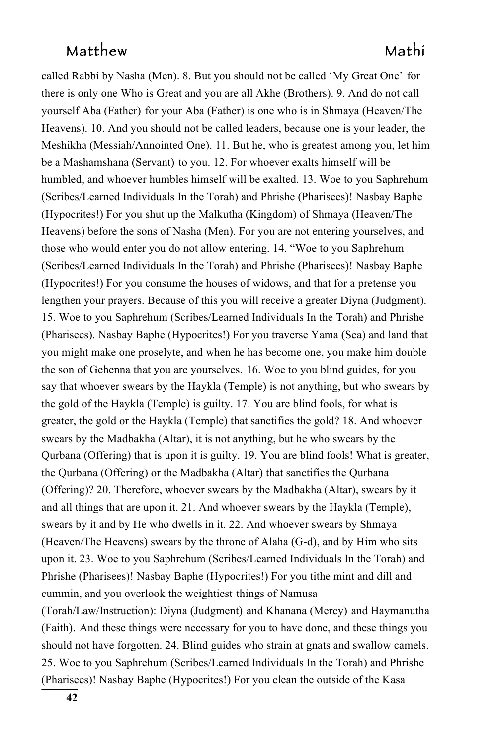called Rabbi by Nasha (Men). 8. But you should not be called 'My Great One' for 1432 there is only one Who is Great and you are all Akhe (Brothers). 9. And do not call yourself Aba (Father) for your Aba (Father) is one who is in Shmaya (Heaven/The Heavens). 10. And you should not be called leaders, because one is your leader, the Meshikha (Messiah/Annointed One). 11. But he, who is greatest among you, let him be a Mashamshana (Servant) to you. 12. For whoever exalts himself will be to you. 12. For whoever exalts himself will be humbled, and whoever humbles himself will be exalted. 13. Woe to you Saphrehum (Scribes/Learned Individuals In the Torah) and Phrishe (Pharisees)! Nasbay Baphe (Hypocrites!) For you shut up the Malkutha (Kingdom) of Shmaya (Heaven/The Heavens) before the sons of Nasha (Men). For you are not entering yourselves, and those who would enter you do not allow entering. 14. "Woe to you Saphrehum (Scribes/Learned Individuals In the Torah) and Phrishe (Pharisees)! Nasbay Baphe (Hypocrites!) For you consume the houses of widows, and that for a pretense you lengthen your prayers. Because of this you will receive a greater Diyna (Judgment). 15. Woe to you Saphrehum (Scribes/Learned Individuals In the Torah) and Phrishe (Pharisees). Nasbay Baphe (Hypocrites!) For you traverse Yama (Sea) and land that you might make one proselyte, and when he has become one, you make him double the son of Gehenna that you are yourselves. 16. Woe to you blind guides, for you say that whoever swears by the Haykla (Temple) is not anything, but who swears by the gold of the Haykla (Temple) is guilty. 17. You are blind fools, for what is greater, the gold or the Haykla (Temple) that sanctifies the gold? 18. And whoever swears by the Madbakha (Altar), it is not anything, but he who swears by the Qurbana (Offering) that is upon it is guilty. 19. You are blind fools! What is greater, the Qurbana (Offering) or the Madbakha (Altar) that sanctifies the Qurbana (Offering)? 20. Therefore, whoever swears by the Madbakha (Altar), swears by it and all things that are upon it. 21. And whoever swears by the Haykla (Temple), swears by it and by He who dwells in it. 22. And whoever swears by Shmaya (Heaven/The Heavens) swears by the throne of Alaha (G-d), and by Him who sits upon it. 23. Woe to you Saphrehum (Scribes/Learned Individuals In the Torah) and Phrishe (Pharisees)! Nasbay Baphe (Hypocrites!) For you tithe mint and dill and cummin, and you overlook the weightiest things of Namusa

(Torah/Law/Instruction): Diyna (Judgment) and Khanana (Mercy) and Haymanutha (Faith). And these things were necessary for you to have done, and these things you should not have forgotten. 24. Blind guides who strain at gnats and swallow camels. 25. Woe to you Saphrehum (Scribes/Learned Individuals In the Torah) and Phrishe 1466 (Pharisees)! Nasbay Baphe (Hypocrites!) For you clean the outside of the Kasa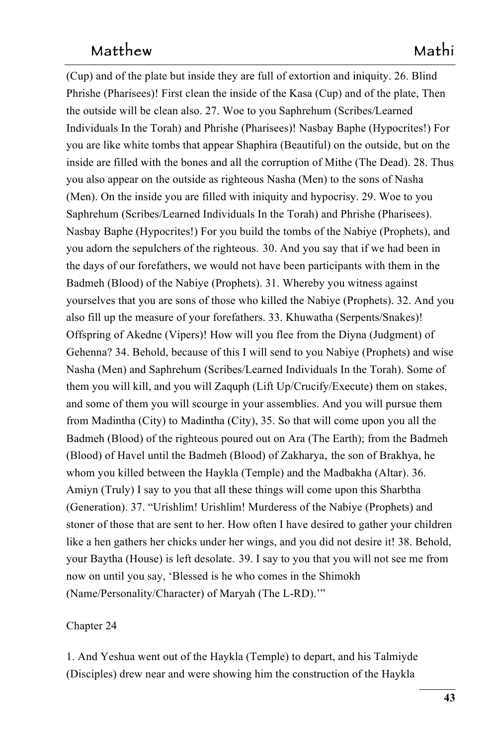$(Cup)$  and of the plate but inside they are full of extortion and iniquity. 26. Blind Phrishe (Pharisees)! First clean the inside of the Kasa (Cup) and of the plate, Then the outside will be clean also. 27. Woe to you Saphrehum (Scribes/Learned Individuals In the Torah) and Phrishe (Pharisees)! Nasbay Baphe (Hypocrites!) For you are like white tombs that appear Shaphira (Beautiful) on the outside, but on the inside are filled with the bones and all the corruption of Mithe (The Dead). 28. Thus you also appear on the outside as righteous Nasha (Men) to the sons of Nasha 1474 (Men). On the inside you are filled with iniquity and hypocrisy. 29. Woe to you Saphrehum (Scribes/Learned Individuals In the Torah) and Phrishe (Pharisees). Nasbay Baphe (Hypocrites!) For you build the tombs of the Nabiye (Prophets), and you adorn the sepulchers of the righteous. 30. And you say that if we had been in the days of our forefathers, we would not have been participants with them in the Badmeh (Blood) of the Nabiye (Prophets). 31. Whereby you witness against yourselves that you are sons of those who killed the Nabiye (Prophets). 32. And you also fill up the measure of your forefathers. 33. Khuwatha (Serpents/Snakes)! Offspring of Akedne (Vipers)! How will you flee from the Diyna (Judgment) of Gehenna? 34. Behold, because of this I will send to you Nabiye (Prophets) and wise Nasha (Men) and Saphrehum (Scribes/Learned Individuals In the Torah). Some of them you will kill, and you will Zaquph (Lift Up/Crucify/Execute) them on stakes, and some of them you will scourge in your assemblies. And you will pursue them from Madintha (City) to Madintha (City),  $35$ . So that will come upon you all the Badmeh (Blood) of the righteous poured out on Ara (The Earth); from the Badmeh (Blood) of Havel until the Badmeh (Blood) of Zakharya, the son of Brakhya, he whom you killed between the Haykla (Temple) and the Madbakha (Altar). 36. Amiyn (Truly) I say to you that all these things will come upon this Sharbtha (Generation). 37. "Urishlim! Urishlim! Murderess of the Nabiye (Prophets) and stoner of those that are sent to her. How often I have desired to gather your children like a hen gathers her chicks under her wings, and you did not desire it! 38. Behold, your Baytha (House) is left desolate. 39. I say to you that you will not see me from now on until you say, 'Blessed is he who comes in the Shimokh (Name/Personality/Character) of Maryah (The L-RD)."<sup>"</sup>

### Chapter 24 1499

1. And Yeshua went out of the Haykla (Temple) to depart, and his Talmiyde (Disciples) drew near and were showing him the construction of the Haykla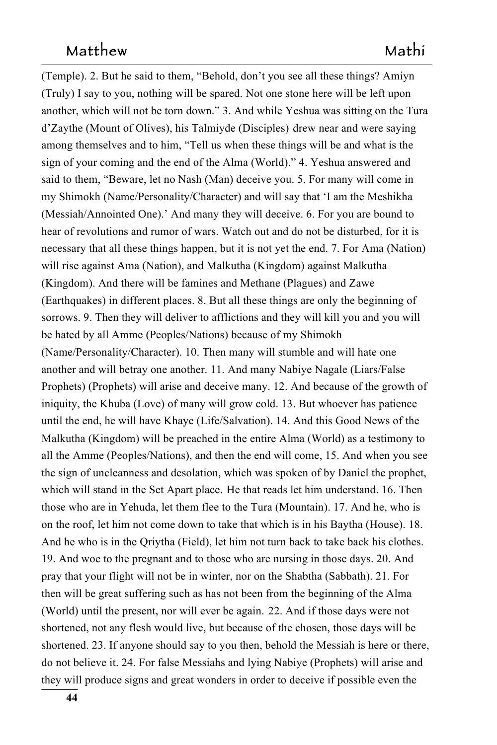(Temple). 2. But he said to them, "Behold, don't you see all these things? Amiyn (Truly) I say to you, nothing will be spared. Not one stone here will be left upon another, which will not be torn down." 3. And while Yeshua was sitting on the Tura d'Zaythe (Mount of Olives), his Talmiyde (Disciples) drew near and were saying among themselves and to him, "Tell us when these things will be and what is the sign of your coming and the end of the Alma (World)." 4. Yeshua answered and said to them, "Beware, let no Nash (Man) deceive you. 5. For many will come in my Shimokh (Name/Personality/Character) and will say that 'I am the Meshikha (Messiah/Annointed One).' And many they will deceive. 6. For you are bound to hear of revolutions and rumor of wars. Watch out and do not be disturbed, for it is necessary that all these things happen, but it is not yet the end. 7. For Ama (Nation) will rise against Ama (Nation), and Malkutha (Kingdom) against Malkutha (Kingdom). And there will be famines and Methane (Plagues) and Zawe (Earthquakes) in different places. 8. But all these things are only the beginning of sorrows. 9. Then they will deliver to afflictions and they will kill you and you will be hated by all Amme (Peoples/Nations) because of my Shimokh (Name/Personality/Character). 10. Then many will stumble and will hate one another and will betray one another. 11. And many Nabiye Nagale (Liars/False Prophets) (Prophets) will arise and deceive many. 12. And because of the growth of iniquity, the Khuba (Love) of many will grow cold. 13. But whoever has patience until the end, he will have Khaye (Life/Salvation). 14. And this Good News of the Malkutha (Kingdom) will be preached in the entire Alma (World) as a testimony to all the Amme (Peoples/Nations), and then the end will come, 15. And when you see the sign of uncleanness and desolation, which was spoken of by Daniel the prophet, which will stand in the Set Apart place. He that reads let him understand. 16. Then He that reads let him understand. 16. Then those who are in Yehuda, let them flee to the Tura (Mountain). 17. And he, who is on the roof, let him not come down to take that which is in his Baytha (House). 18. And he who is in the Qriytha (Field), let him not turn back to take back his clothes. 19. And woe to the pregnant and to those who are nursing in those days. 20. And pray that your flight will not be in winter, nor on the Shabtha (Sabbath). 21. For then will be great suffering such as has not been from the beginning of the Alma (World) until the present, nor will ever be again. 22. And if those days were not shortened, not any flesh would live, but because of the chosen, those days will be shortened. 23. If anyone should say to you then, behold the Messiah is here or there, do not believe it. 24. For false Messiahs and lying Nabiye (Prophets) will arise and they will produce signs and great wonders in order to deceive if possible even the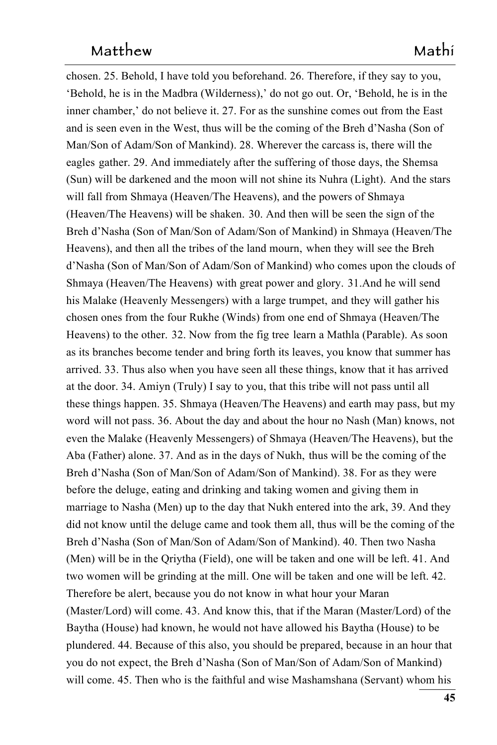chosen. 25. Behold, I have told you beforehand. 26. Therefore, if they say to you, 'Behold, he is in the Madbra (Wilderness),' do not go out. Or, 'Behold, he is in the inner chamber,' do not believe it.  $27$ . For as the sunshine comes out from the East and is seen even in the West, thus will be the coming of the Breh d'Nasha (Son of Man/Son of Adam/Son of Mankind). 28. Wherever the carcass is, there will the eagles gather. 29. And immediately after the suffering of those days, the Shemsa (Sun) will be darkened and the moon will not shine its Nuhra (Light).  And the stars will fall from Shmaya (Heaven/The Heavens), and the powers of Shmaya (Heaven/The Heavens) will be shaken. 30. And then will be seen the sign of the Breh d'Nasha (Son of Man/Son of Adam/Son of Mankind) in Shmaya (Heaven/The Heavens), and then all the tribes of the land mourn, when they will see the Breh when they will see the Breh d'Nasha (Son of Man/Son of Adam/Son of Mankind) who comes upon the clouds of Shmaya (Heaven/The Heavens) with great power and glory. 31. And he will send his Malake (Heavenly Messengers) with a large trumpet, and they will gather his chosen ones from the four Rukhe (Winds) from one end of Shmaya (Heaven/The Heavens) to the other. 32. Now from the fig tree learn a Mathla (Parable). As soon as its branches become tender and bring forth its leaves, you know that summer has arrived. 33. Thus also when you have seen all these things, know that it has arrived at the door. 34. Amiyn (Truly) I say to you, that this tribe will not pass until all these things happen. 35. Shmaya (Heaven/The Heavens) and earth may pass, but my word will not pass. 36. About the day and about the hour no Nash (Man) knows, not even the Malake (Heavenly Messengers) of Shmaya (Heaven/The Heavens), but the Aba (Father) alone. 37. And as in the days of Nukh, thus will be the coming of the Breh d'Nasha (Son of Man/Son of Adam/Son of Mankind). 38. For as they were before the deluge, eating and drinking and taking women and giving them in marriage to Nasha (Men) up to the day that Nukh entered into the ark, 39. And they did not know until the deluge came and took them all, thus will be the coming of the Breh d'Nasha (Son of Man/Son of Adam/Son of Mankind). 40. Then two Nasha (Men) will be in the Oriytha (Field), one will be taken and one will be left. 41. And two women will be grinding at the mill. One will be taken and one will be left. 42. and one will be left. 42. Therefore be alert, because you do not know in what hour your Maran  $(Master/Lord)$  will come. 43. And know this, that if the Maran  $(Master/Lord)$  of the Baytha (House) had known, he would not have allowed his Baytha (House) to be plundered. 44. Because of this also, you should be prepared, because in an hour that you do not expect, the Breh d'Nasha (Son of Man/Son of Adam/Son of Mankind) 1572 will come. 45. Then who is the faithful and wise Mashamshana (Servant) whom his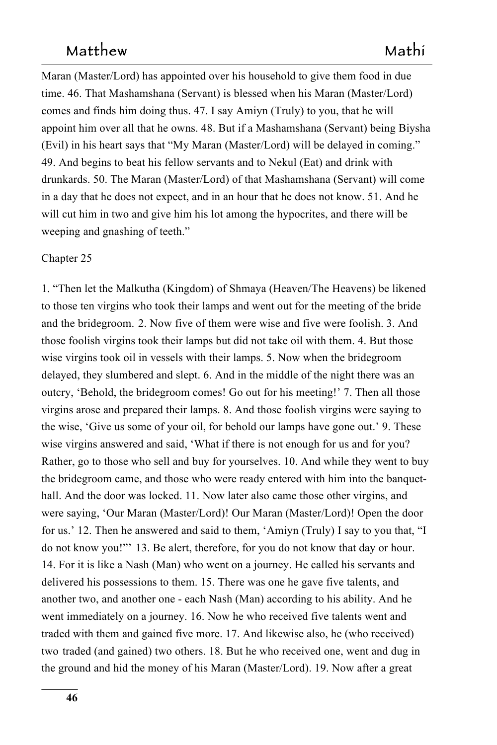Maran (Master/Lord) has appointed over his household to give them food in due time. 46. That Mashamshana (Servant) is blessed when his Maran (Master/Lord) comes and finds him doing thus. 47. I say Amiyn (Truly) to you, that he will appoint him over all that he owns. 48. But if a Mashamshana (Servant) being Biysha (Evil) in his heart says that "My Maran (Master/Lord) will be delayed in coming." 49. And begins to beat his fellow servants and to Nekul (Eat) and drink with drunkards. 50. The Maran (Master/Lord) of that Mashamshana (Servant) will come in a day that he does not expect, and in an hour that he does not know. 51. And he will cut him in two and give him his lot among the hypocrites, and there will be weeping and gnashing of teeth."

#### Chapter 25

1. "Then let the Malkutha (Kingdom) of Shmaya (Heaven/The Heavens) be likened to those ten virgins who took their lamps and went out for the meeting of the bride and the bridegroom. 2. Now five of them were wise and five were foolish. 3. And those foolish virgins took their lamps but did not take oil with them. 4. But those wise virgins took oil in vessels with their lamps. 5. Now when the bridegroom delayed, they slumbered and slept. 6. And in the middle of the night there was an outcry, 'Behold, the bridegroom comes! Go out for his meeting!' 7. Then all those virgins arose and prepared their lamps. 8. And those foolish virgins were saying to the wise, 'Give us some of your oil, for behold our lamps have gone out.' 9. These wise virgins answered and said, 'What if there is not enough for us and for you? Rather, go to those who sell and buy for yourselves. 10. And while they went to buy the bridegroom came, and those who were ready entered with him into the banquethall. And the door was locked. 11. Now later also came those other virgins, and were saying, 'Our Maran (Master/Lord)! Our Maran (Master/Lord)! Open the door for us.' 12. Then he answered and said to them, 'Amiyn (Truly) I say to you that, "I do not know you!"<sup>'</sup> 13. Be alert, therefore, for you do not know that day or hour. 14. For it is like a Nash (Man) who went on a journey. He called his servants and delivered his possessions to them. 15. There was one he gave five talents, and another two, and another one - each Nash (Man) according to his ability. And he went immediately on a journey. 16. Now he who received five talents went and traded with them and gained five more. 17. And likewise also, he (who received) two traded (and gained) two others. 18. But he who received one, went and dug in the ground and hid the money of his Maran (Master/Lord). 19. Now after a great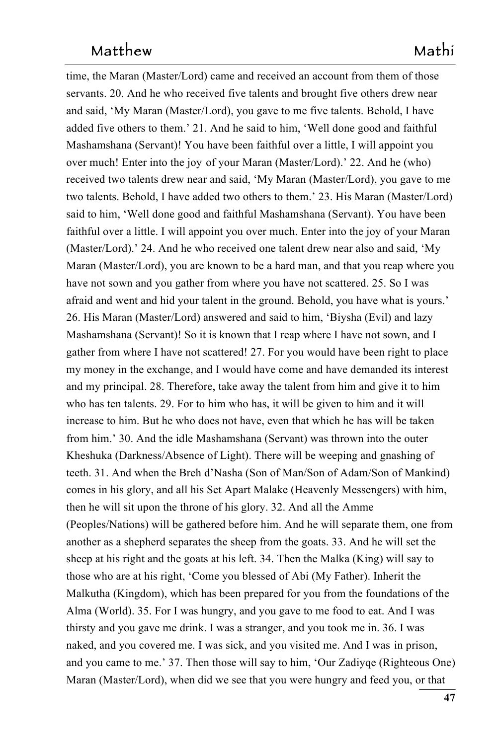time, the Maran (Master/Lord) came and received an account from them of those servants. 20. And he who received five talents and brought five others drew near and said, 'My Maran (Master/Lord), you gave to me five talents. Behold, I have added five others to them.' 21. And he said to him, 'Well done good and faithful Mashamshana (Servant)! You have been faithful over a little, I will appoint you over much! Enter into the joy of your Maran (Master/Lord).' 22. And he (who) received two talents drew near and said, 'My Maran (Master/Lord), you gave to me two talents. Behold, I have added two others to them.' 23. His Maran (Master/Lord) said to him, 'Well done good and faithful Mashamshana (Servant). You have been faithful over a little. I will appoint you over much. Enter into the joy of your Maran (Master/Lord).' 24. And he who received one talent drew near also and said, 'My Maran (Master/Lord), you are known to be a hard man, and that you reap where you have not sown and you gather from where you have not scattered. 25. So I was afraid and went and hid your talent in the ground. Behold, you have what is yours.' 26. His Maran (Master/Lord) answered and said to him, 'Biysha (Evil) and lazy Mashamshana (Servant)! So it is known that I reap where I have not sown, and I gather from where I have not scattered! 27. For you would have been right to place my money in the exchange, and I would have come and have demanded its interest and my principal. 28. Therefore, take away the talent from him and give it to him who has ten talents. 29. For to him who has, it will be given to him and it will increase to him. But he who does not have, even that which he has will be taken from him.' 30. And the idle Mashamshana (Servant) was thrown into the outer Kheshuka (Darkness/Absence of Light). There will be weeping and gnashing of teeth. 31. And when the Breh d'Nasha (Son of Man/Son of Adam/Son of Mankind) comes in his glory, and all his Set Apart Malake (Heavenly Messengers) with him, then he will sit upon the throne of his glory. 32. And all the Amme (Peoples/Nations) will be gathered before him. And he will separate them, one from another as a shepherd separates the sheep from the goats. 33. And he will set the sheep at his right and the goats at his left. 34. Then the Malka (King) will say to those who are at his right, 'Come you blessed of Abi (My Father). Inherit the Malkutha (Kingdom), which has been prepared for you from the foundations of the Alma (World). 35. For I was hungry, and you gave to me food to eat. And I was thirsty and you gave me drink. I was a stranger, and you took me in. 36. I was naked, and you covered me. I was sick, and you visited me. And I was in prison, and you came to me.' 37. Then those will say to him, 'Our Zadiyqe (Righteous One) Maran (Master/Lord), when did we see that you were hungry and feed you, or that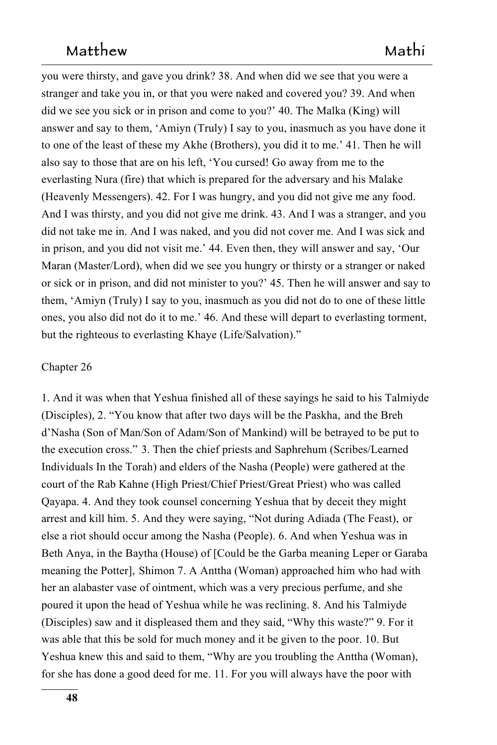you were thirsty, and gave you drink? 38. And when did we see that you were a stranger and take you in, or that you were naked and covered you? 39. And when did we see you sick or in prison and come to you?' 40. The Malka (King) will answer and say to them, 'Amiyn (Truly) I say to you, inasmuch as you have done it to one of the least of these my Akhe (Brothers), you did it to me.' 41. Then he will also say to those that are on his left, 'You cursed! Go away from me to the everlasting Nura (fire) that which is prepared for the adversary and his Malake (Heavenly Messengers). 42. For I was hungry, and you did not give me any food. And I was thirsty, and you did not give me drink. 43. And I was a stranger, and you did not take me in. And I was naked, and you did not cover me. And I was sick and in prison, and you did not visit me.' 44. Even then, they will answer and say, 'Our Maran (Master/Lord), when did we see you hungry or thirsty or a stranger or naked or sick or in prison, and did not minister to you?' 45. Then he will answer and say to them, 'Amiyn (Truly) I say to you, inasmuch as you did not do to one of these little ones, you also did not do it to me.' 46. And these will depart to everlasting torment, but the righteous to everlasting Khaye (Life/Salvation)."

#### $Chapter 26$

1. And it was when that Yeshua finished all of these sayings he said to his Talmiyde (Disciples), 2. "You know that after two days will be the Paskha, and the Breh d'Nasha (Son of Man/Son of Adam/Son of Mankind) will be betrayed to be put to 1664 the execution cross." 3. Then the chief priests and Saphrehum (Scribes/Learned Individuals In the Torah) and elders of the Nasha (People) were gathered at the court of the Rab Kahne (High Priest/Chief Priest/Great Priest) who was called Qayapa. 4. And they took counsel concerning Yeshua that by deceit they might arrest and kill him. 5. And they were saying, "Not during Adiada (The Feast),  or 1669 else a riot should occur among the Nasha (People). 6. And when Yeshua was in Beth Anya, in the Baytha (House) of [Could be the Garba meaning Leper or Garaba meaning the Potter], Shimon 7. A Anttha (Woman) approached him who had with her an alabaster vase of ointment, which was a very precious perfume, and she poured it upon the head of Yeshua while he was reclining. 8. And his Talmiyde (Disciples) saw and it displeased them and they said, "Why this waste?" 9. For it was able that this be sold for much money and it be given to the poor. 10. But Yeshua knew this and said to them, "Why are you troubling the Anttha (Woman), for she has done a good deed for me. 11. For you will always have the poor with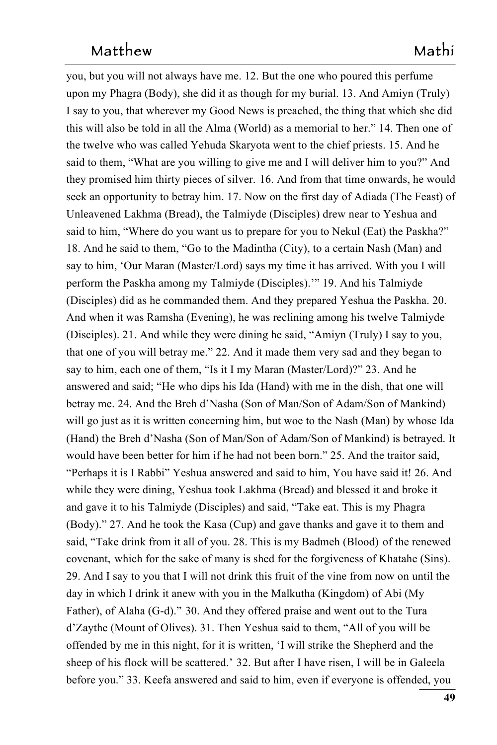you, but you will not always have me. 12. But the one who poured this perfume upon my Phagra (Body), she did it as though for my burial. 13. And Amiyn (Truly) I say to you, that wherever my Good News is preached, the thing that which she did this will also be told in all the Alma (World) as a memorial to her." 14. Then one of the twelve who was called Yehuda Skaryota went to the chief priests. 15. And he said to them, "What are you willing to give me and I will deliver him to you?" And they promised him thirty pieces of silver. 16. And from that time onwards, he would seek an opportunity to betray him. 17. Now on the first day of Adiada (The Feast) of Unleavened Lakhma (Bread), the Talmiyde (Disciples) drew near to Yeshua and said to him, "Where do you want us to prepare for you to Nekul (Eat) the Paskha?" 18. And he said to them, "Go to the Madintha (City), to a certain Nash (Man) and say to him, 'Our Maran (Master/Lord) says my time it has arrived. With you I will perform the Paskha among my Talmiyde (Disciples)." 19. And his Talmiyde (Disciples) did as he commanded them. And they prepared Yeshua the Paskha. 20. And when it was Ramsha (Evening), he was reclining among his twelve Talmiyde (Disciples). 21. And while they were dining he said, "Amiyn (Truly) I say to you, that one of you will betray me." 22. And it made them very sad and they began to say to him, each one of them, "Is it I my Maran (Master/Lord)?" 23. And he answered and said; "He who dips his Ida (Hand) with me in the dish, that one will betray me. 24. And the Breh d'Nasha (Son of Man/Son of Adam/Son of Mankind) will go just as it is written concerning him, but woe to the Nash (Man) by whose Ida (Hand) the Breh d'Nasha (Son of Man/Son of Adam/Son of Mankind) is betrayed. It would have been better for him if he had not been born." 25. And the traitor said, "Perhaps it is I Rabbi" Yeshua answered and said to him, You have said it! 26. And while they were dining, Yeshua took Lakhma (Bread) and blessed it and broke it and gave it to his Talmiyde (Disciples) and said, "Take eat. This is my Phagra  $(Body).$ " 27. And he took the Kasa  $(Cup)$  and gave thanks and gave it to them and said, "Take drink from it all of you. 28. This is my Badmeh (Blood) of the renewed covenant, which for the sake of many is shed for the forgiveness of Khatahe (Sins). 29. And I say to you that I will not drink this fruit of the vine from now on until the day in which I drink it anew with you in the Malkutha (Kingdom) of Abi (My Father), of Alaha (G-d)." 30. And they offered praise and went out to the Tura d'Zaythe (Mount of Olives). 31. Then Yeshua said to them, "All of you will be offended by me in this night, for it is written, 'I will strike the Shepherd and the sheep of his flock will be scattered.' 32. But after I have risen, I will be in Galeela before you." 33. Keefa answered and said to him, even if everyone is offended, you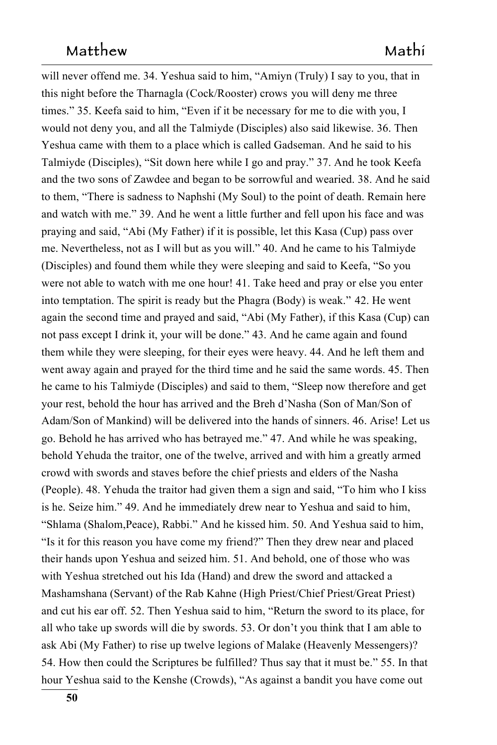will never offend me. 34. Yeshua said to him, "Amiyn (Truly) I say to you, that in this night before the Tharnagla (Cock/Rooster) crows you will deny me three times." 35. Keefa said to him, "Even if it be necessary for me to die with you, I would not deny you, and all the Talmiyde (Disciples) also said likewise. 36. Then Yeshua came with them to a place which is called Gadseman. And he said to his Talmiyde (Disciples), "Sit down here while I go and pray." 37. And he took Keefa and the two sons of Zawdee and began to be sorrowful and wearied. 38. And he said to them, "There is sadness to Naphshi (My Soul) to the point of death. Remain here and watch with me." 39. And he went a little further and fell upon his face and was praying and said, "Abi (My Father) if it is possible, let this Kasa (Cup) pass over me. Nevertheless, not as I will but as you will."  $40$ . And he came to his Talmiyde (Disciples) and found them while they were sleeping and said to Keefa, "So you were not able to watch with me one hour! 41. Take heed and pray or else you enter into temptation. The spirit is ready but the Phagra (Body) is weak." 42. He went again the second time and prayed and said, "Abi (My Father), if this Kasa (Cup) can not pass except I drink it, your will be done." 43. And he came again and found them while they were sleeping, for their eyes were heavy. 44. And he left them and went away again and prayed for the third time and he said the same words. 45. Then he came to his Talmiyde (Disciples) and said to them, "Sleep now therefore and get your rest, behold the hour has arrived and the Breh d'Nasha (Son of Man/Son of Adam/Son of Mankind) will be delivered into the hands of sinners. 46. Arise! Let us go. Behold he has arrived who has betrayed me." 47. And while he was speaking, behold Yehuda the traitor, one of the twelve, arrived and with him a greatly armed crowd with swords and staves before the chief priests and elders of the Nasha (People). 48. Yehuda the traitor had given them a sign and said, "To him who I kiss is he. Seize him." 49. And he immediately drew near to Yeshua and said to him, "Shlama (Shalom, Peace), Rabbi." And he kissed him. 50. And Yeshua said to him, "Is it for this reason you have come my friend?" Then they drew near and placed their hands upon Yeshua and seized him. 51. And behold, one of those who was with Yeshua stretched out his Ida (Hand) and drew the sword and attacked a Mashamshana (Servant) of the Rab Kahne (High Priest/Chief Priest/Great Priest) and cut his ear off. 52. Then Yeshua said to him, "Return the sword to its place, for all who take up swords will die by swords. 53. Or don't you think that I am able to ask Abi (My Father) to rise up twelve legions of Malake (Heavenly Messengers)? 1748 54. How then could the Scriptures be fulfilled? Thus say that it must be." 55. In that hour Yeshua said to the Kenshe (Crowds), "As against a bandit you have come out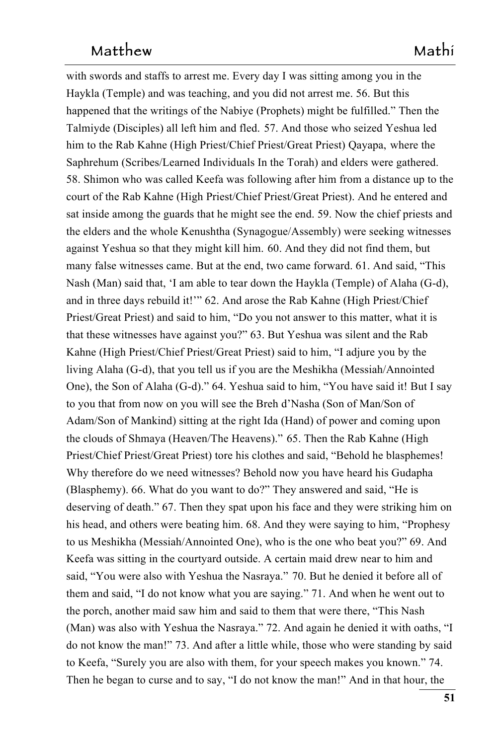with swords and staffs to arrest me. Every day I was sitting among you in the Haykla (Temple) and was teaching, and you did not arrest me. 56. But this happened that the writings of the Nabiye (Prophets) might be fulfilled." Then the Talmiyde (Disciples) all left him and fled. 57. And those who seized Yeshua led him to the Rab Kahne (High Priest/Chief Priest/Great Priest) Qayapa, where the Saphrehum (Scribes/Learned Individuals In the Torah) and elders were gathered. 58. Shimon who was called Keefa was following after him from a distance up to the court of the Rab Kahne (High Priest/Chief Priest/Great Priest). And he entered and sat inside among the guards that he might see the end. 59. Now the chief priests and the elders and the whole Kenushtha (Synagogue/Assembly) were seeking witnesses against Yeshua so that they might kill him. 60. And they did not find them, but many false witnesses came. But at the end, two came forward. 61. And said, "This Nash (Man) said that, 'I am able to tear down the Haykla (Temple) of Alaha (G-d), and in three days rebuild it!" 62. And arose the Rab Kahne (High Priest/Chief Priest/Great Priest) and said to him, "Do you not answer to this matter, what it is that these witnesses have against you?" 63. But Yeshua was silent and the Rab 1766 Kahne (High Priest/Chief Priest/Great Priest) said to him, "I adjure you by the living Alaha (G-d), that you tell us if you are the Meshikha (Messiah/Annointed One), the Son of Alaha (G-d)." 64. Yeshua said to him, "You have said it! But I say to you that from now on you will see the Breh d'Nasha (Son of Man/Son of Adam/Son of Mankind) sitting at the right Ida (Hand) of power and coming upon the clouds of Shmaya (Heaven/The Heavens)." 65. Then the Rab Kahne (High Priest/Chief Priest/Great Priest) tore his clothes and said, "Behold he blasphemes! Why therefore do we need witnesses? Behold now you have heard his Gudapha (Blasphemy). 66. What do you want to do?" They answered and said, "He is deserving of death." 67. Then they spat upon his face and they were striking him on his head, and others were beating him. 68. And they were saying to him, "Prophesy to us Meshikha (Messiah/Annointed One), who is the one who beat you?" 69. And Keefa was sitting in the courtyard outside. A certain maid drew near to him and said, "You were also with Yeshua the Nasraya." 70. But he denied it before all of them and said, "I do not know what you are saying." 71. And when he went out to the porch, another maid saw him and said to them that were there, "This Nash (Man) was also with Yeshua the Nasraya." 72. And again he denied it with oaths, "I do not know the man!" 73. And after a little while, those who were standing by said to Keefa, "Surely you are also with them, for your speech makes you known." 74. Then he began to curse and to say, "I do not know the man!" And in that hour, the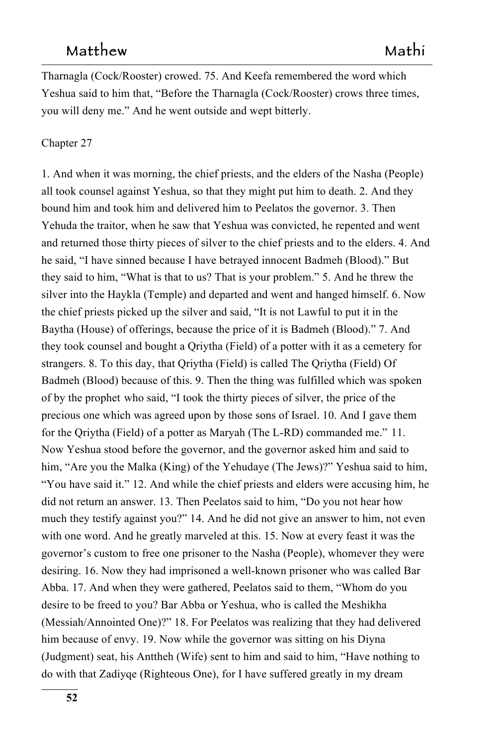Tharnagla (Cock/Rooster) crowed. 75. And Keefa remembered the word which Yeshua said to him that, "Before the Tharnagla (Cock/Rooster) crows three times, you will deny me." And he went outside and wept bitterly.

#### Chapter 27

1. And when it was morning, the chief priests, and the elders of the Nasha (People) all took counsel against Yeshua, so that they might put him to death. 2. And they bound him and took him and delivered him to Peelatos the governor. 3. Then Yehuda the traitor, when he saw that Yeshua was convicted, he repented and went and returned those thirty pieces of silver to the chief priests and to the elders. 4. And he said, "I have sinned because I have betrayed innocent Badmeh (Blood)." But they said to him, "What is that to us? That is your problem." 5. And he threw the silver into the Haykla (Temple) and departed and went and hanged himself. 6. Now the chief priests picked up the silver and said, "It is not Lawful to put it in the Baytha (House) of offerings, because the price of it is Badmeh (Blood)." 7. And they took counsel and bought a Qriytha (Field) of a potter with it as a cemetery for strangers. 8. To this day, that Qriytha (Field) is called The Qriytha (Field) Of Badmeh (Blood) because of this. 9. Then the thing was fulfilled which was spoken of by the prophet who said, "I took the thirty pieces of silver, the price of the precious one which was agreed upon by those sons of Israel. 10. And I gave them for the Qriytha (Field) of a potter as Maryah (The L-RD) commanded me." 11. **11.** 11. Now Yeshua stood before the governor, and the governor asked him and said to him, "Are you the Malka (King) of the Yehudaye (The Jews)?" Yeshua said to him, "You have said it." 12. And while the chief priests and elders were accusing him, he did not return an answer. 13. Then Peelatos said to him, "Do you not hear how much they testify against you?" 14. And he did not give an answer to him, not even with one word. And he greatly marveled at this. 15. Now at every feast it was the governor's custom to free one prisoner to the Nasha (People), whomever they were desiring. 16. Now they had imprisoned a well-known prisoner who was called Bar Abba. 17. And when they were gathered, Peelatos said to them, "Whom do you desire to be freed to you? Bar Abba or Yeshua, who is called the Meshikha (Messiah/Annointed One)?" 18. For Peelatos was realizing that they had delivered him because of envy. 19. Now while the governor was sitting on his Diyna (Judgment) seat, his Anttheh (Wife) sent to him and said to him, "Have nothing to do with that Zadiyqe (Righteous One), for I have suffered greatly in my dream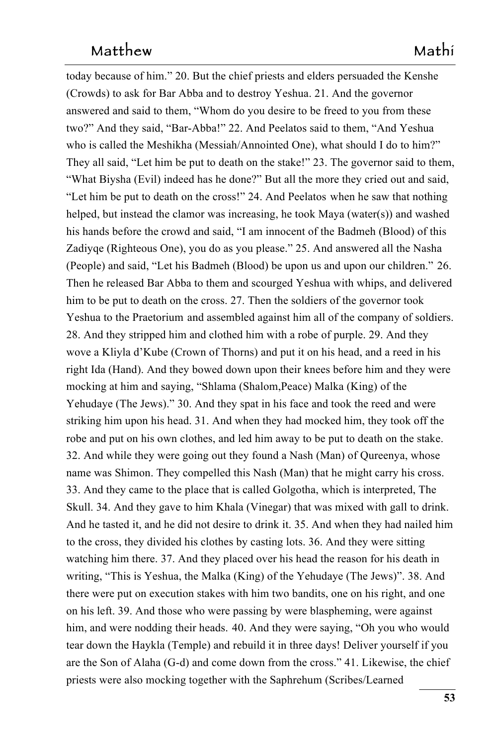today because of him." 20. But the chief priests and elders persuaded the Kenshe (Crowds) to ask for Bar Abba and to destroy Yeshua. 21. And the governor answered and said to them, "Whom do you desire to be freed to you from these two?" And they said, "Bar-Abba!" 22. And Peelatos said to them, "And Yeshua who is called the Meshikha (Messiah/Annointed One), what should I do to him?" They all said, "Let him be put to death on the stake!" 23. The governor said to them, "What Biysha (Evil) indeed has he done?" But all the more they cried out and said, "Let him be put to death on the cross!" 24. And Peelatos when he saw that nothing helped, but instead the clamor was increasing, he took Maya (water(s)) and washed his hands before the crowd and said, "I am innocent of the Badmeh (Blood) of this Zadiyqe (Righteous One), you do as you please." 25. And answered all the Nasha (People) and said, "Let his Badmeh (Blood) be upon us and upon our children."  $26.$ Then he released Bar Abba to them and scourged Yeshua with whips, and delivered him to be put to death on the cross. 27. Then the soldiers of the governor took Yeshua to the Praetorium and assembled against him all of the company of soldiers. 28. And they stripped him and clothed him with a robe of purple. 29. And they wove a Kliyla d'Kube (Crown of Thorns) and put it on his head, and a reed in his right Ida (Hand). And they bowed down upon their knees before him and they were mocking at him and saying, "Shlama (Shalom, Peace) Malka (King) of the Yehudaye (The Jews)." 30. And they spat in his face and took the reed and were striking him upon his head.  $31$ . And when they had mocked him, they took off the robe and put on his own clothes, and led him away to be put to death on the stake. 32. And while they were going out they found a Nash (Man) of Qureenya, whose name was Shimon. They compelled this Nash (Man) that he might carry his cross. 33. And they came to the place that is called Golgotha, which is interpreted. The Skull. 34. And they gave to him Khala (Vinegar) that was mixed with gall to drink. And he tasted it, and he did not desire to drink it. 35. And when they had nailed him to the cross, they divided his clothes by casting lots. 36. And they were sitting watching him there. 37. And they placed over his head the reason for his death in writing, "This is Yeshua, the Malka (King) of the Yehudaye (The Jews)". 38. And there were put on execution stakes with him two bandits, one on his right, and one on his left. 39. And those who were passing by were blaspheming, were against him, and were nodding their heads. 40. And they were saying, "Oh you who would tear down the Haykla (Temple) and rebuild it in three days! Deliver yourself if you 1854 are the Son of Alaha  $(G-d)$  and come down from the cross." 41. Likewise, the chief priests were also mocking together with the Saphrehum (Scribes/Learned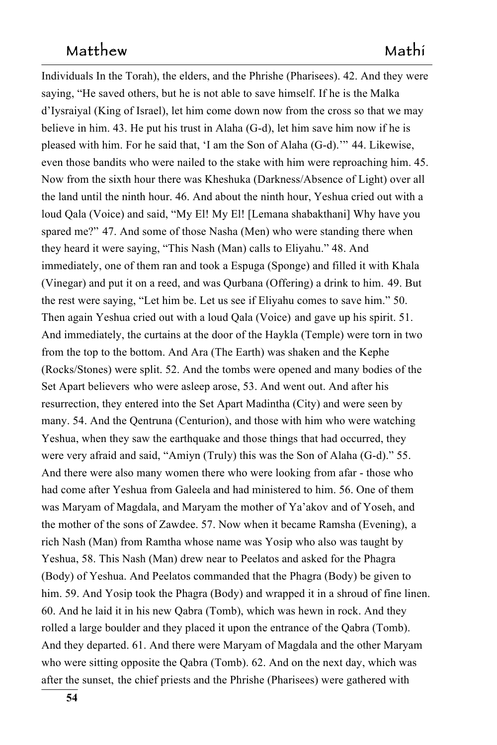Individuals In the Torah), the elders, and the Phrishe (Pharisees). 42. And they were saying, "He saved others, but he is not able to save himself. If he is the Malka d'Iysraiyal (King of Israel), let him come down now from the cross so that we may 1859 believe in him. 43. He put his trust in Alaha  $(G-d)$ , let him save him now if he is pleased with him. For he said that, 'I am the Son of Alaha (G-d).'" 44. Likewise, even those bandits who were nailed to the stake with him were reproaching him. 45. Now from the sixth hour there was Kheshuka (Darkness/Absence of Light) over all the land until the ninth hour. 46. And about the ninth hour, Yeshua cried out with a loud Qala (Voice) and said, "My El! My El! [Lemana shabakthani] Why have you spared me?" 47. And some of those Nasha (Men) who were standing there when they heard it were saying, "This Nash (Man) calls to Eliyahu." 48. And immediately, one of them ran and took a Espuga (Sponge) and filled it with Khala (Vinegar) and put it on a reed, and was Qurbana (Offering) a drink to him. 49. But the rest were saying, "Let him be. Let us see if Eliyahu comes to save him." 50. Then again Yeshua cried out with a loud Qala (Voice) and gave up his spirit. 51. and gave up his spirit. 51. And immediately, the curtains at the door of the Haykla (Temple) were torn in two from the top to the bottom. And Ara (The Earth) was shaken and the Kephe (Rocks/Stones) were split. 52. And the tombs were opened and many bodies of the Set Apart believers who were asleep arose, 53. And went out. And after his resurrection, they entered into the Set Apart Madintha (City) and were seen by many. 54. And the Qentruna (Centurion), and those with him who were watching Yeshua, when they saw the earthquake and those things that had occurred, they were very afraid and said, "Amiyn (Truly) this was the Son of Alaha (G-d)." 55. And there were also many women there who were looking from afar - those who had come after Yeshua from Galeela and had ministered to him. 56. One of them was Maryam of Magdala, and Maryam the mother of Ya'akov and of Yoseh, and the mother of the sons of Zawdee. 57. Now when it became Ramsha (Evening),   $a \sim 188$ rich Nash (Man) from Ramtha whose name was Yosip who also was taught by Yeshua, 58. This Nash (Man) drew near to Peelatos and asked for the Phagra (Body) of Yeshua. And Peelatos commanded that the Phagra (Body) be given to him. 59. And Yosip took the Phagra (Body) and wrapped it in a shroud of fine linen. 60. And he laid it in his new Qabra (Tomb), which was hewn in rock. And they rolled a large boulder and they placed it upon the entrance of the Qabra (Tomb). And they departed. 61. And there were Maryam of Magdala and the other Maryam who were sitting opposite the Qabra (Tomb). 62. And on the next day, which was after the sunset, the chief priests and the Phrishe (Pharisees) were gathered with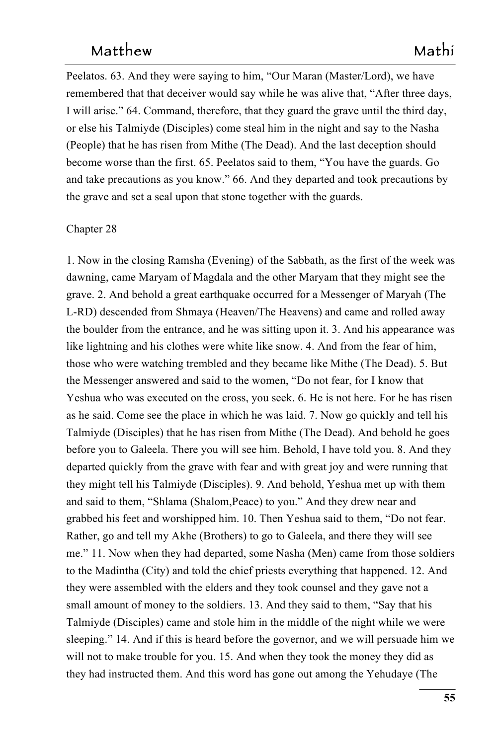Peelatos. 63. And they were saying to him, "Our Maran (Master/Lord), we have remembered that that deceiver would say while he was alive that, "After three days, I will arise." 64. Command, therefore, that they guard the grave until the third day, or else his Talmiyde (Disciples) come steal him in the night and say to the Nasha (People) that he has risen from Mithe (The Dead). And the last deception should become worse than the first. 65. Peelatos said to them, "You have the guards. Go and take precautions as you know." 66. And they departed and took precautions by the grave and set a seal upon that stone together with the guards.

#### Chapter 28

1. Now in the closing Ramsha (Evening) of the Sabbath, as the first of the week was dawning, came Maryam of Magdala and the other Maryam that they might see the grave. 2. And behold a great earthquake occurred for a Messenger of Maryah (The L-RD) descended from Shmaya (Heaven/The Heavens) and came and rolled away the boulder from the entrance, and he was sitting upon it. 3. And his appearance was like lightning and his clothes were white like snow. 4. And from the fear of him, those who were watching trembled and they became like Mithe (The Dead). 5. But the Messenger answered and said to the women, "Do not fear, for I know that Yeshua who was executed on the cross, you seek. 6. He is not here. For he has risen as he said. Come see the place in which he was laid. 7. Now go quickly and tell his Talmiyde (Disciples) that he has risen from Mithe (The Dead). And behold he goes before you to Galeela. There you will see him. Behold, I have told you. 8. And they departed quickly from the grave with fear and with great joy and were running that they might tell his Talmiyde (Disciples). 9. And behold, Yeshua met up with them and said to them, "Shlama (Shalom, Peace) to you." And they drew near and grabbed his feet and worshipped him. 10. Then Yeshua said to them, "Do not fear. Rather, go and tell my Akhe (Brothers) to go to Galeela, and there they will see me." 11. Now when they had departed, some Nasha (Men) came from those soldiers to the Madintha (City) and told the chief priests everything that happened. 12. And they were assembled with the elders and they took counsel and they gave not a small amount of money to the soldiers. 13. And they said to them, "Say that his Talmiyde (Disciples) came and stole him in the middle of the night while we were sleeping." 14. And if this is heard before the governor, and we will persuade him we will not to make trouble for you. 15. And when they took the money they did as they had instructed them. And this word has gone out among the Yehudaye (The